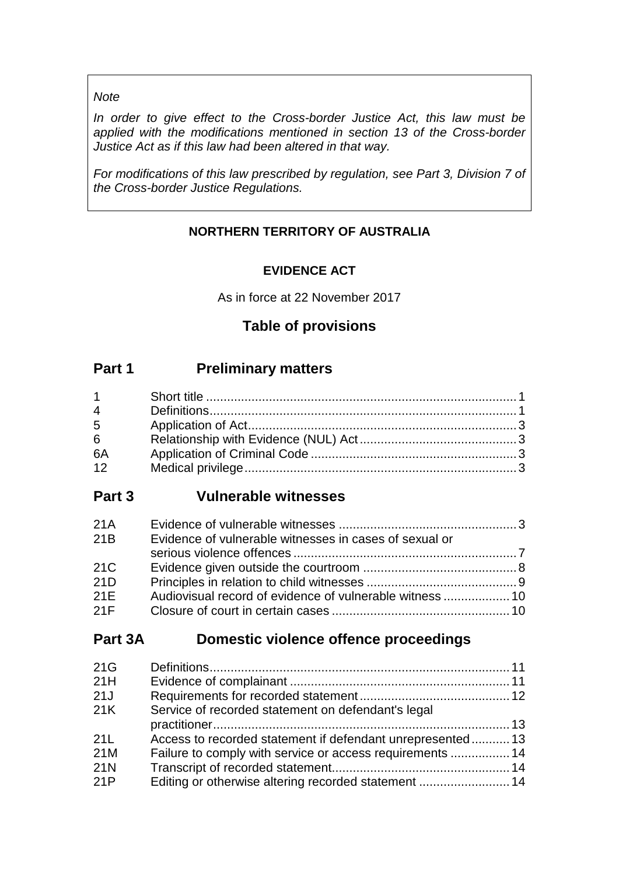# *Note*

*In order to give effect to the Cross-border Justice Act, this law must be applied with the modifications mentioned in section 13 of the Cross-border Justice Act as if this law had been altered in that way.*

*For modifications of this law prescribed by regulation, see Part 3, Division 7 of the Cross-border Justice Regulations.*

# **NORTHERN TERRITORY OF AUSTRALIA**

# **EVIDENCE ACT**

As in force at 22 November 2017

# **Table of provisions**

# **Part 1 Preliminary matters**

| $1 \quad \Box$ |  |
|----------------|--|
| $\overline{4}$ |  |
| $5^{\circ}$    |  |
| 6              |  |
| 6A             |  |
| 12             |  |

# **Part 3 Vulnerable witnesses**

| 21A |                                                        |  |
|-----|--------------------------------------------------------|--|
| 21B | Evidence of vulnerable witnesses in cases of sexual or |  |
|     |                                                        |  |
| 21C |                                                        |  |
| 21D |                                                        |  |
| 21E |                                                        |  |
| 21F |                                                        |  |

# **Part 3A Domestic violence offence proceedings**

| 21G |                                                            |  |
|-----|------------------------------------------------------------|--|
| 21H |                                                            |  |
| 21J |                                                            |  |
| 21K | Service of recorded statement on defendant's legal         |  |
|     |                                                            |  |
| 21L | Access to recorded statement if defendant unrepresented 13 |  |
| 21M | Failure to comply with service or access requirements  14  |  |
| 21N |                                                            |  |
| 21P | Editing or otherwise altering recorded statement  14       |  |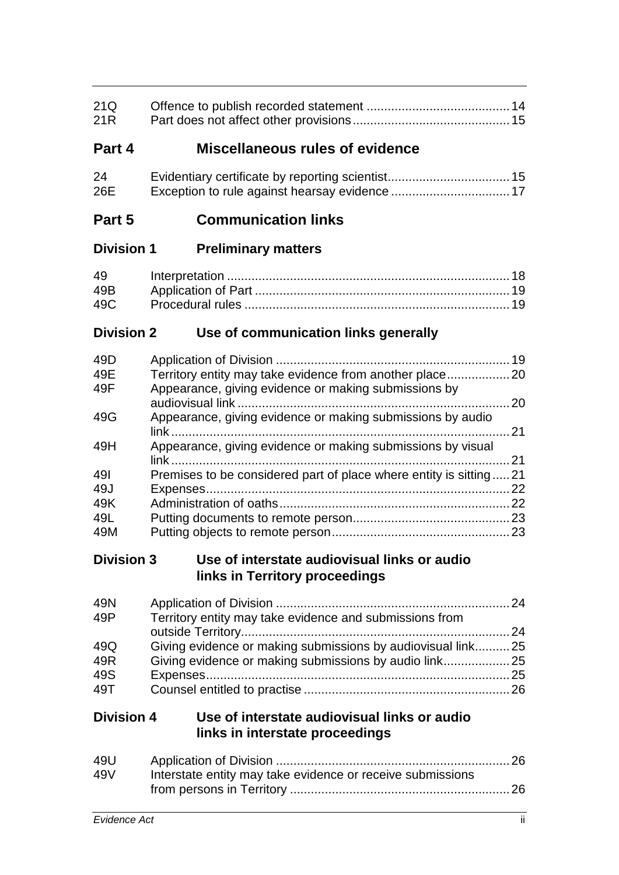| 21Q<br>21 <sub>R</sub> |                                                                                           |     |
|------------------------|-------------------------------------------------------------------------------------------|-----|
| Part 4                 | <b>Miscellaneous rules of evidence</b>                                                    |     |
| 24<br>26E              |                                                                                           |     |
| Part 5                 | <b>Communication links</b>                                                                |     |
| <b>Division 1</b>      | <b>Preliminary matters</b>                                                                |     |
| 49                     |                                                                                           |     |
| 49B                    |                                                                                           |     |
| 49C                    |                                                                                           |     |
| <b>Division 2</b>      | Use of communication links generally                                                      |     |
|                        |                                                                                           |     |
| 49D                    |                                                                                           |     |
| 49E                    | Territory entity may take evidence from another place20                                   |     |
| 49F                    | Appearance, giving evidence or making submissions by                                      |     |
|                        |                                                                                           |     |
| 49G                    | Appearance, giving evidence or making submissions by audio                                |     |
|                        |                                                                                           |     |
| 49H                    | Appearance, giving evidence or making submissions by visual                               |     |
| 491                    | Premises to be considered part of place where entity is sitting21                         | 21  |
| 49J                    |                                                                                           |     |
| 49K                    |                                                                                           |     |
| 49L                    |                                                                                           |     |
| 49M                    |                                                                                           |     |
|                        |                                                                                           |     |
|                        | Division 3 Use of interstate audiovisual links or audio<br>links in Territory proceedings |     |
| 49N                    |                                                                                           |     |
| 49P                    | Territory entity may take evidence and submissions from                                   |     |
|                        |                                                                                           |     |
| 49Q                    | Giving evidence or making submissions by audiovisual link 25                              |     |
| 49R                    | Giving evidence or making submissions by audio link25                                     |     |
| 49S                    |                                                                                           |     |
| 49T                    |                                                                                           |     |
| <b>Division 4</b>      | Use of interstate audiovisual links or audio<br>links in interstate proceedings           |     |
| 49U                    |                                                                                           |     |
| 49V                    | Interstate entity may take evidence or receive submissions                                |     |
|                        |                                                                                           |     |
|                        |                                                                                           |     |
| Evidence Act           |                                                                                           | ii. |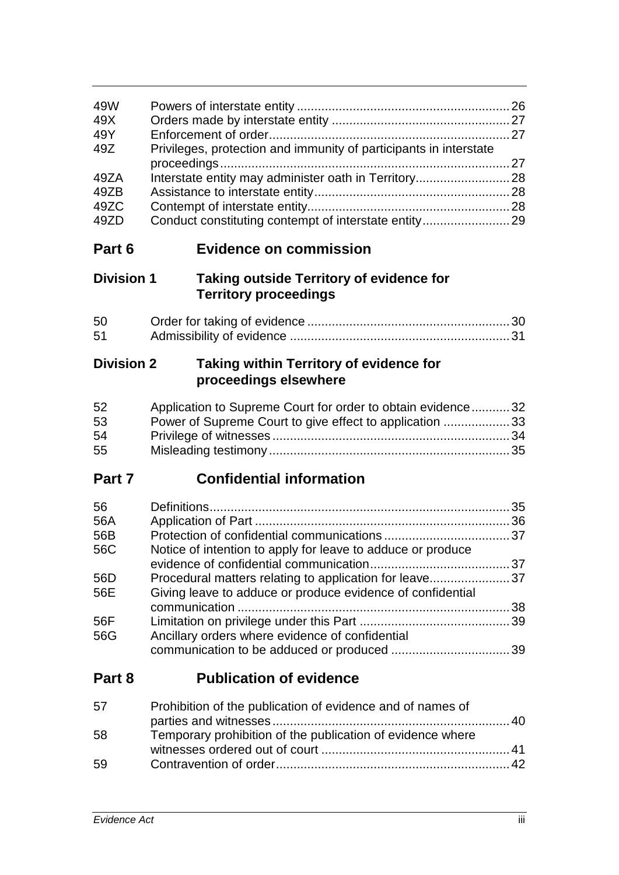| 49W<br>49X<br>49Y<br>49Z<br>49ZA<br>49ZB<br>49ZC<br>49ZD | Privileges, protection and immunity of participants in interstate<br>Interstate entity may administer oath in Territory 28<br>Conduct constituting contempt of interstate entity 29                                                    |    |
|----------------------------------------------------------|----------------------------------------------------------------------------------------------------------------------------------------------------------------------------------------------------------------------------------------|----|
| Part 6                                                   | <b>Evidence on commission</b>                                                                                                                                                                                                          |    |
| <b>Division 1</b>                                        | <b>Taking outside Territory of evidence for</b><br><b>Territory proceedings</b>                                                                                                                                                        |    |
| 50<br>51                                                 |                                                                                                                                                                                                                                        |    |
| <b>Division 2</b>                                        | Taking within Territory of evidence for<br>proceedings elsewhere                                                                                                                                                                       |    |
| 52<br>53<br>54<br>55                                     | Application to Supreme Court for order to obtain evidence 32<br>Power of Supreme Court to give effect to application  33                                                                                                               |    |
| Part 7                                                   | <b>Confidential information</b>                                                                                                                                                                                                        |    |
| 56<br>56A<br>56B<br>56C<br>56D<br>56E<br>56F<br>56G      | Notice of intention to apply for leave to adduce or produce<br>Procedural matters relating to application for leave37<br>Giving leave to adduce or produce evidence of confidential<br>Ancillary orders where evidence of confidential |    |
| Part 8                                                   | <b>Publication of evidence</b>                                                                                                                                                                                                         |    |
| 57                                                       | Prohibition of the publication of evidence and of names of<br>parties and witnesses.                                                                                                                                                   | 40 |

| 58 | Temporary prohibition of the publication of evidence where |  |
|----|------------------------------------------------------------|--|
|    |                                                            |  |
| 59 |                                                            |  |
|    |                                                            |  |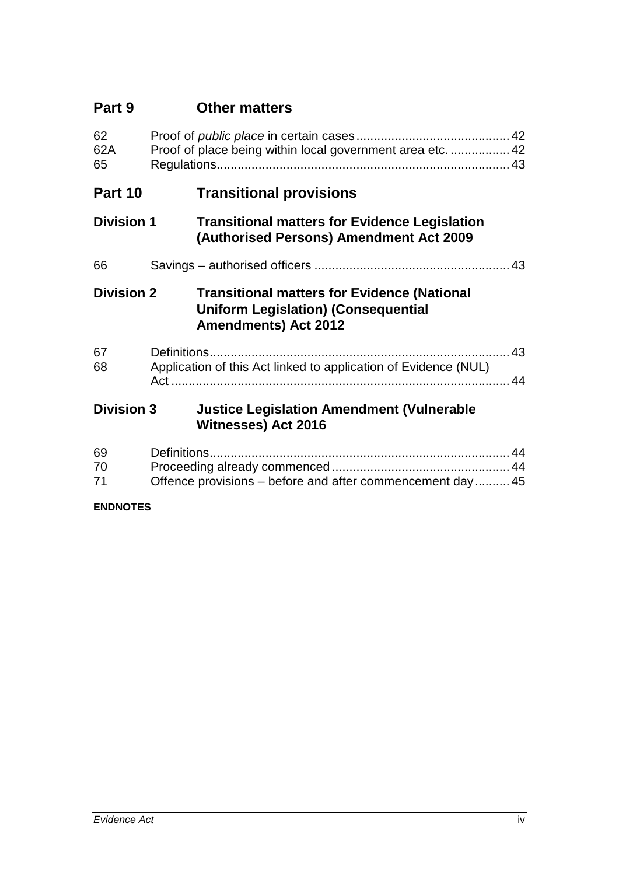| Part 9            | <b>Other matters</b>                                                                                                            |  |
|-------------------|---------------------------------------------------------------------------------------------------------------------------------|--|
| 62<br>62A<br>65   | Proof of place being within local government area etc.  42                                                                      |  |
| Part 10           | <b>Transitional provisions</b>                                                                                                  |  |
| <b>Division 1</b> | <b>Transitional matters for Evidence Legislation</b><br>(Authorised Persons) Amendment Act 2009                                 |  |
| 66                |                                                                                                                                 |  |
| <b>Division 2</b> | <b>Transitional matters for Evidence (National</b><br><b>Uniform Legislation) (Consequential</b><br><b>Amendments) Act 2012</b> |  |
| 67<br>68          | . 43<br>Application of this Act linked to application of Evidence (NUL)                                                         |  |
| <b>Division 3</b> | <b>Justice Legislation Amendment (Vulnerable</b><br><b>Witnesses) Act 2016</b>                                                  |  |
| 69<br>70<br>71    | Offence provisions – before and after commencement day 45                                                                       |  |
| <b>ENDNOTES</b>   |                                                                                                                                 |  |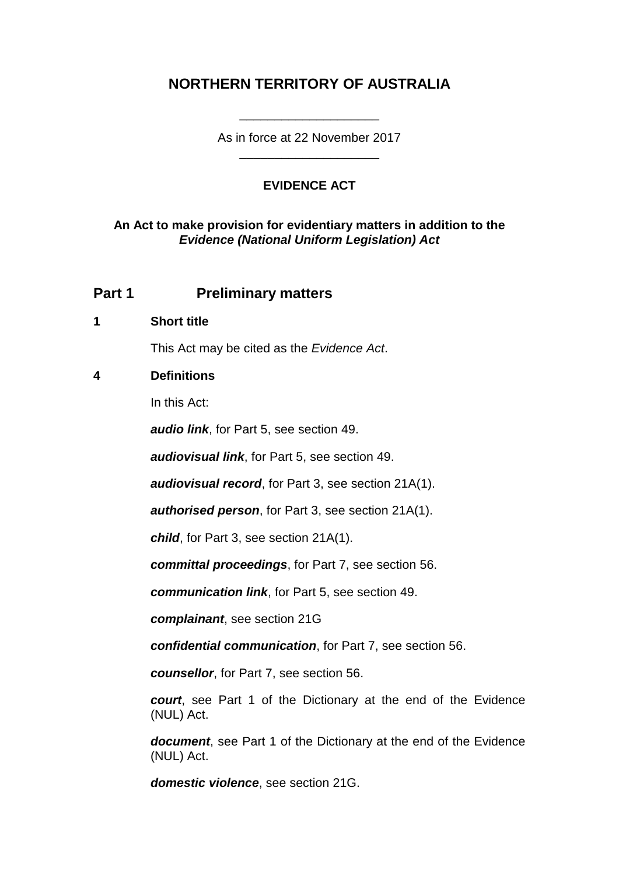# **NORTHERN TERRITORY OF AUSTRALIA**

As in force at 22 November 2017 \_\_\_\_\_\_\_\_\_\_\_\_\_\_\_\_\_\_\_\_

\_\_\_\_\_\_\_\_\_\_\_\_\_\_\_\_\_\_\_\_

# **EVIDENCE ACT**

# **An Act to make provision for evidentiary matters in addition to the**  *Evidence (National Uniform Legislation) Act*

# **Part 1 Preliminary matters**

# **1 Short title**

This Act may be cited as the *Evidence Act*.

# **4 Definitions**

In this Act:

*audio link*, for Part 5, see section 49.

*audiovisual link*, for Part 5, see section 49.

*audiovisual record*, for Part 3, see section 21A(1).

*authorised person*, for Part 3, see section 21A(1).

*child*, for Part 3, see section 21A(1).

*committal proceedings*, for Part 7, see section 56.

*communication link*, for Part 5, see section 49.

*complainant*, see section 21G

*confidential communication*, for Part 7, see section 56.

*counsellor*, for Part 7, see section 56.

*court*, see Part 1 of the Dictionary at the end of the Evidence (NUL) Act.

*document*, see Part 1 of the Dictionary at the end of the Evidence (NUL) Act.

*domestic violence*, see section 21G.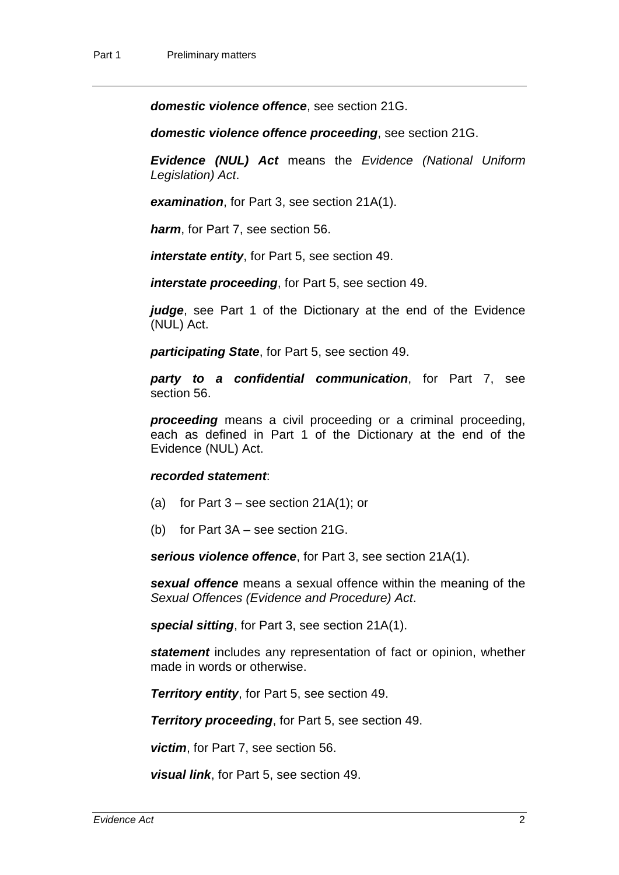*domestic violence offence*, see section 21G.

*domestic violence offence proceeding*, see section 21G.

*Evidence (NUL) Act* means the *Evidence (National Uniform Legislation) Act*.

*examination*, for Part 3, see section 21A(1).

*harm*, for Part 7, see section 56.

*interstate entity*, for Part 5, see section 49.

*interstate proceeding*, for Part 5, see section 49.

*judge*, see Part 1 of the Dictionary at the end of the Evidence (NUL) Act.

*participating State*, for Part 5, see section 49.

*party to a confidential communication*, for Part 7, see section 56.

*proceeding* means a civil proceeding or a criminal proceeding, each as defined in Part 1 of the Dictionary at the end of the Evidence (NUL) Act.

#### *recorded statement*:

- (a) for Part  $3$  see section 21A(1); or
- (b) for Part 3A see section 21G.

*serious violence offence*, for Part 3, see section 21A(1).

*sexual offence* means a sexual offence within the meaning of the *Sexual Offences (Evidence and Procedure) Act*.

*special sitting*, for Part 3, see section 21A(1).

*statement* includes any representation of fact or opinion, whether made in words or otherwise.

*Territory entity*, for Part 5, see section 49.

*Territory proceeding*, for Part 5, see section 49.

*victim*, for Part 7, see section 56.

*visual link*, for Part 5, see section 49.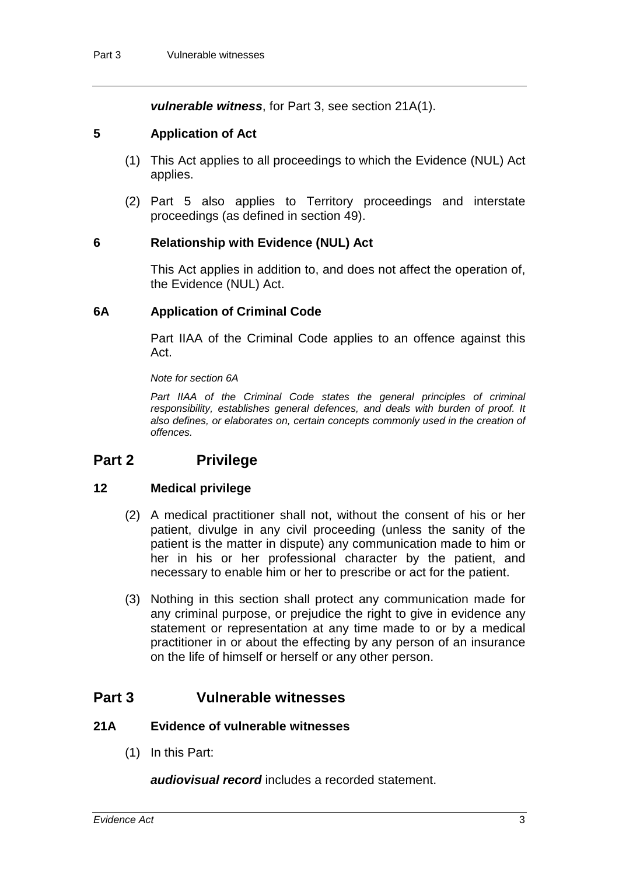*vulnerable witness*, for Part 3, see section 21A(1).

# **5 Application of Act**

- (1) This Act applies to all proceedings to which the Evidence (NUL) Act applies.
- (2) Part 5 also applies to Territory proceedings and interstate proceedings (as defined in section 49).

# **6 Relationship with Evidence (NUL) Act**

This Act applies in addition to, and does not affect the operation of, the Evidence (NUL) Act.

#### **6A Application of Criminal Code**

Part IIAA of the Criminal Code applies to an offence against this Act.

*Note for section 6A*

Part IIAA of the Criminal Code states the general principles of criminal *responsibility, establishes general defences, and deals with burden of proof. It also defines, or elaborates on, certain concepts commonly used in the creation of offences.*

# **Part 2 Privilege**

# **12 Medical privilege**

- (2) A medical practitioner shall not, without the consent of his or her patient, divulge in any civil proceeding (unless the sanity of the patient is the matter in dispute) any communication made to him or her in his or her professional character by the patient, and necessary to enable him or her to prescribe or act for the patient.
- (3) Nothing in this section shall protect any communication made for any criminal purpose, or prejudice the right to give in evidence any statement or representation at any time made to or by a medical practitioner in or about the effecting by any person of an insurance on the life of himself or herself or any other person.

# **Part 3 Vulnerable witnesses**

# **21A Evidence of vulnerable witnesses**

(1) In this Part:

*audiovisual record* includes a recorded statement.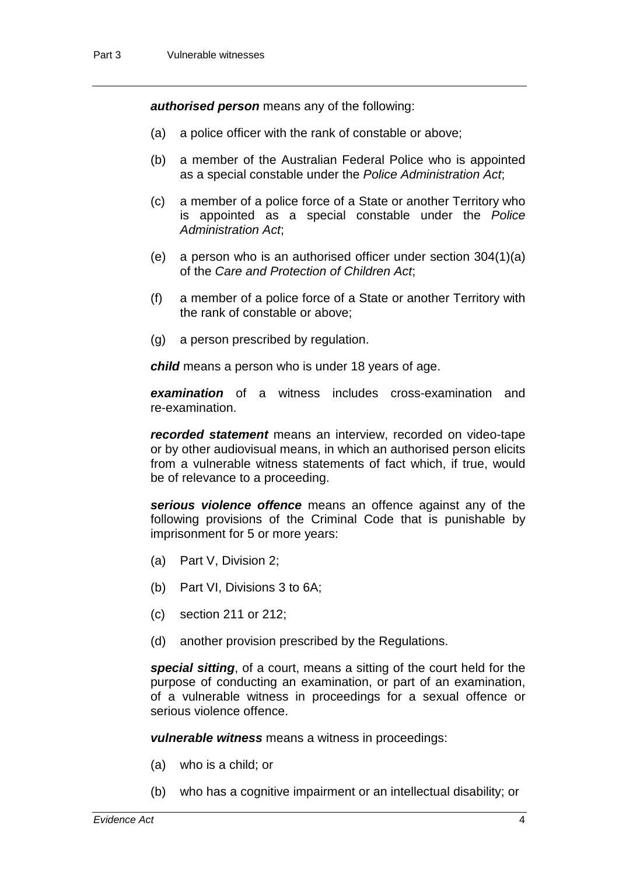*authorised person* means any of the following:

- (a) a police officer with the rank of constable or above;
- (b) a member of the Australian Federal Police who is appointed as a special constable under the *Police Administration Act*;
- (c) a member of a police force of a State or another Territory who is appointed as a special constable under the *Police Administration Act*;
- (e) a person who is an authorised officer under section 304(1)(a) of the *Care and Protection of Children Act*;
- (f) a member of a police force of a State or another Territory with the rank of constable or above;
- (g) a person prescribed by regulation.

*child* means a person who is under 18 years of age.

*examination* of a witness includes cross-examination and re-examination.

*recorded statement* means an interview, recorded on video-tape or by other audiovisual means, in which an authorised person elicits from a vulnerable witness statements of fact which, if true, would be of relevance to a proceeding.

*serious violence offence* means an offence against any of the following provisions of the Criminal Code that is punishable by imprisonment for 5 or more years:

- (a) Part V, Division 2;
- (b) Part VI, Divisions 3 to 6A;
- (c) section 211 or 212;
- (d) another provision prescribed by the Regulations.

*special sitting*, of a court, means a sitting of the court held for the purpose of conducting an examination, or part of an examination, of a vulnerable witness in proceedings for a sexual offence or serious violence offence.

*vulnerable witness* means a witness in proceedings:

- (a) who is a child; or
- (b) who has a cognitive impairment or an intellectual disability; or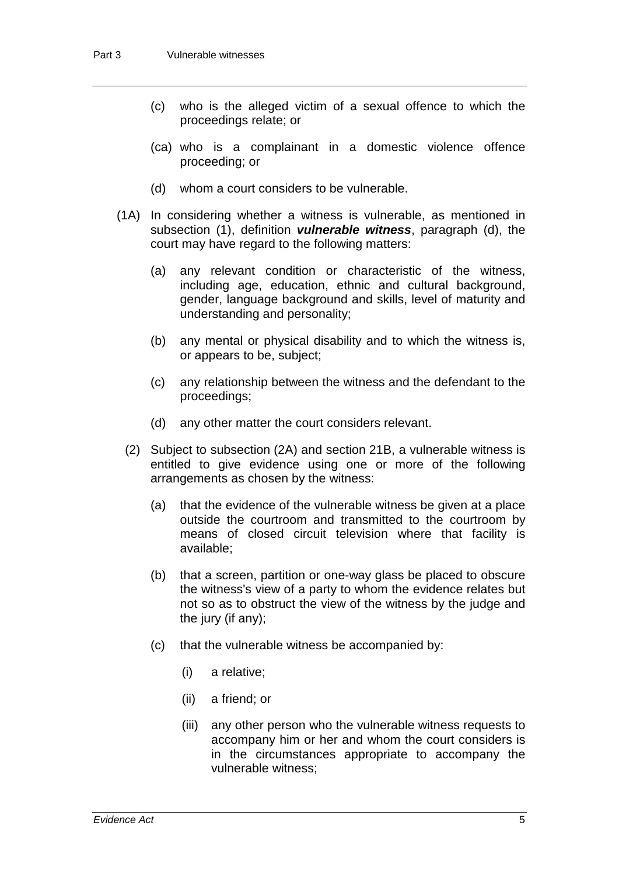- (c) who is the alleged victim of a sexual offence to which the proceedings relate; or
- (ca) who is a complainant in a domestic violence offence proceeding; or
- (d) whom a court considers to be vulnerable.
- (1A) In considering whether a witness is vulnerable, as mentioned in subsection (1), definition *vulnerable witness*, paragraph (d), the court may have regard to the following matters:
	- (a) any relevant condition or characteristic of the witness, including age, education, ethnic and cultural background, gender, language background and skills, level of maturity and understanding and personality;
	- (b) any mental or physical disability and to which the witness is, or appears to be, subject;
	- (c) any relationship between the witness and the defendant to the proceedings;
	- (d) any other matter the court considers relevant.
	- (2) Subject to subsection (2A) and section 21B, a vulnerable witness is entitled to give evidence using one or more of the following arrangements as chosen by the witness:
		- (a) that the evidence of the vulnerable witness be given at a place outside the courtroom and transmitted to the courtroom by means of closed circuit television where that facility is available;
		- (b) that a screen, partition or one-way glass be placed to obscure the witness's view of a party to whom the evidence relates but not so as to obstruct the view of the witness by the judge and the jury (if any);
		- (c) that the vulnerable witness be accompanied by:
			- (i) a relative;
			- (ii) a friend; or
			- (iii) any other person who the vulnerable witness requests to accompany him or her and whom the court considers is in the circumstances appropriate to accompany the vulnerable witness;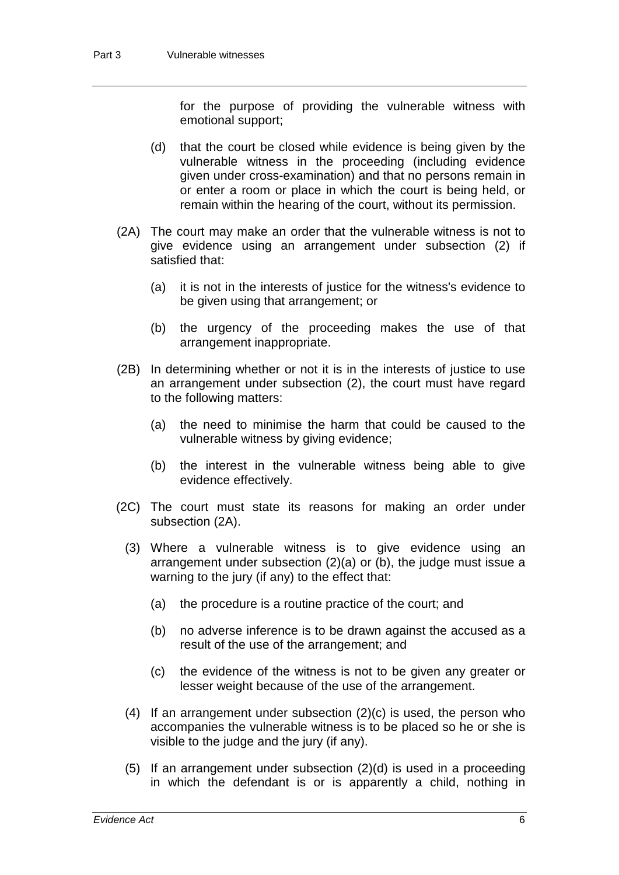for the purpose of providing the vulnerable witness with emotional support;

- (d) that the court be closed while evidence is being given by the vulnerable witness in the proceeding (including evidence given under cross-examination) and that no persons remain in or enter a room or place in which the court is being held, or remain within the hearing of the court, without its permission.
- (2A) The court may make an order that the vulnerable witness is not to give evidence using an arrangement under subsection (2) if satisfied that:
	- (a) it is not in the interests of justice for the witness's evidence to be given using that arrangement; or
	- (b) the urgency of the proceeding makes the use of that arrangement inappropriate.
- (2B) In determining whether or not it is in the interests of justice to use an arrangement under subsection (2), the court must have regard to the following matters:
	- (a) the need to minimise the harm that could be caused to the vulnerable witness by giving evidence;
	- (b) the interest in the vulnerable witness being able to give evidence effectively.
- (2C) The court must state its reasons for making an order under subsection (2A).
	- (3) Where a vulnerable witness is to give evidence using an arrangement under subsection (2)(a) or (b), the judge must issue a warning to the jury (if any) to the effect that:
		- (a) the procedure is a routine practice of the court; and
		- (b) no adverse inference is to be drawn against the accused as a result of the use of the arrangement; and
		- (c) the evidence of the witness is not to be given any greater or lesser weight because of the use of the arrangement.
	- (4) If an arrangement under subsection (2)(c) is used, the person who accompanies the vulnerable witness is to be placed so he or she is visible to the judge and the jury (if any).
	- (5) If an arrangement under subsection (2)(d) is used in a proceeding in which the defendant is or is apparently a child, nothing in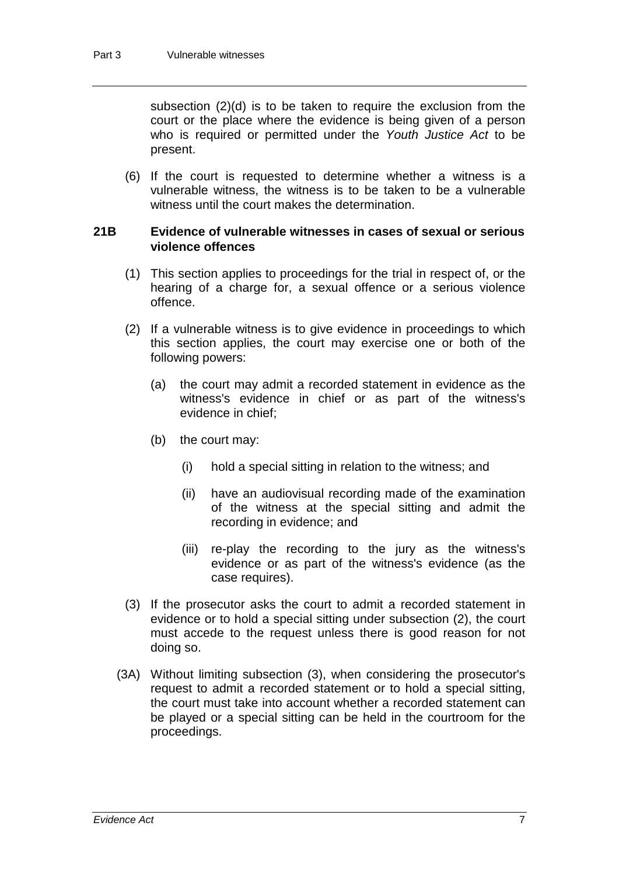subsection (2)(d) is to be taken to require the exclusion from the court or the place where the evidence is being given of a person who is required or permitted under the *Youth Justice Act* to be present.

(6) If the court is requested to determine whether a witness is a vulnerable witness, the witness is to be taken to be a vulnerable witness until the court makes the determination.

#### **21B Evidence of vulnerable witnesses in cases of sexual or serious violence offences**

- (1) This section applies to proceedings for the trial in respect of, or the hearing of a charge for, a sexual offence or a serious violence offence.
- (2) If a vulnerable witness is to give evidence in proceedings to which this section applies, the court may exercise one or both of the following powers:
	- (a) the court may admit a recorded statement in evidence as the witness's evidence in chief or as part of the witness's evidence in chief;
	- (b) the court may:
		- (i) hold a special sitting in relation to the witness; and
		- (ii) have an audiovisual recording made of the examination of the witness at the special sitting and admit the recording in evidence; and
		- (iii) re-play the recording to the jury as the witness's evidence or as part of the witness's evidence (as the case requires).
- (3) If the prosecutor asks the court to admit a recorded statement in evidence or to hold a special sitting under subsection (2), the court must accede to the request unless there is good reason for not doing so.
- (3A) Without limiting subsection (3), when considering the prosecutor's request to admit a recorded statement or to hold a special sitting, the court must take into account whether a recorded statement can be played or a special sitting can be held in the courtroom for the proceedings.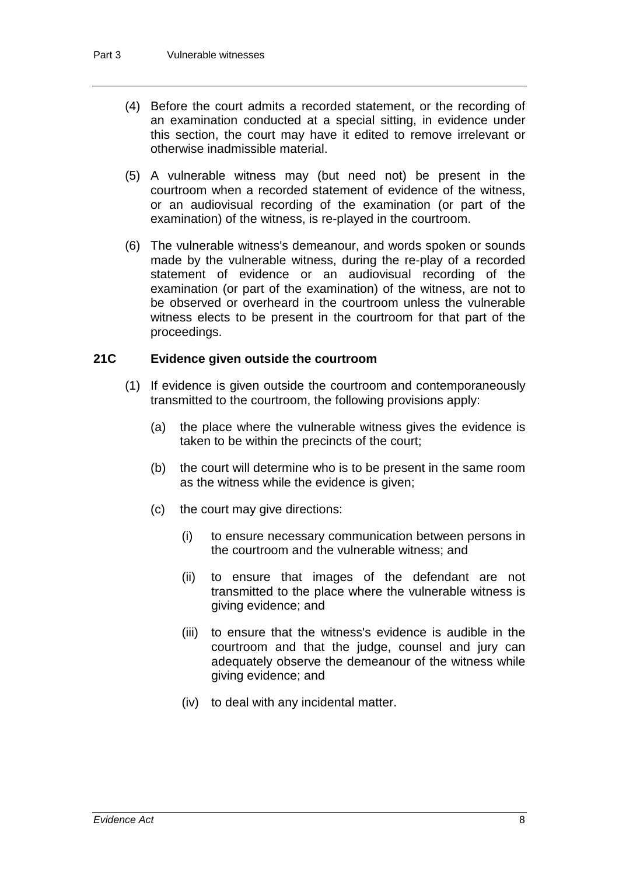- (4) Before the court admits a recorded statement, or the recording of an examination conducted at a special sitting, in evidence under this section, the court may have it edited to remove irrelevant or otherwise inadmissible material.
- (5) A vulnerable witness may (but need not) be present in the courtroom when a recorded statement of evidence of the witness, or an audiovisual recording of the examination (or part of the examination) of the witness, is re-played in the courtroom.
- (6) The vulnerable witness's demeanour, and words spoken or sounds made by the vulnerable witness, during the re-play of a recorded statement of evidence or an audiovisual recording of the examination (or part of the examination) of the witness, are not to be observed or overheard in the courtroom unless the vulnerable witness elects to be present in the courtroom for that part of the proceedings.

# **21C Evidence given outside the courtroom**

- (1) If evidence is given outside the courtroom and contemporaneously transmitted to the courtroom, the following provisions apply:
	- (a) the place where the vulnerable witness gives the evidence is taken to be within the precincts of the court;
	- (b) the court will determine who is to be present in the same room as the witness while the evidence is given;
	- (c) the court may give directions:
		- (i) to ensure necessary communication between persons in the courtroom and the vulnerable witness; and
		- (ii) to ensure that images of the defendant are not transmitted to the place where the vulnerable witness is giving evidence; and
		- (iii) to ensure that the witness's evidence is audible in the courtroom and that the judge, counsel and jury can adequately observe the demeanour of the witness while giving evidence; and
		- (iv) to deal with any incidental matter.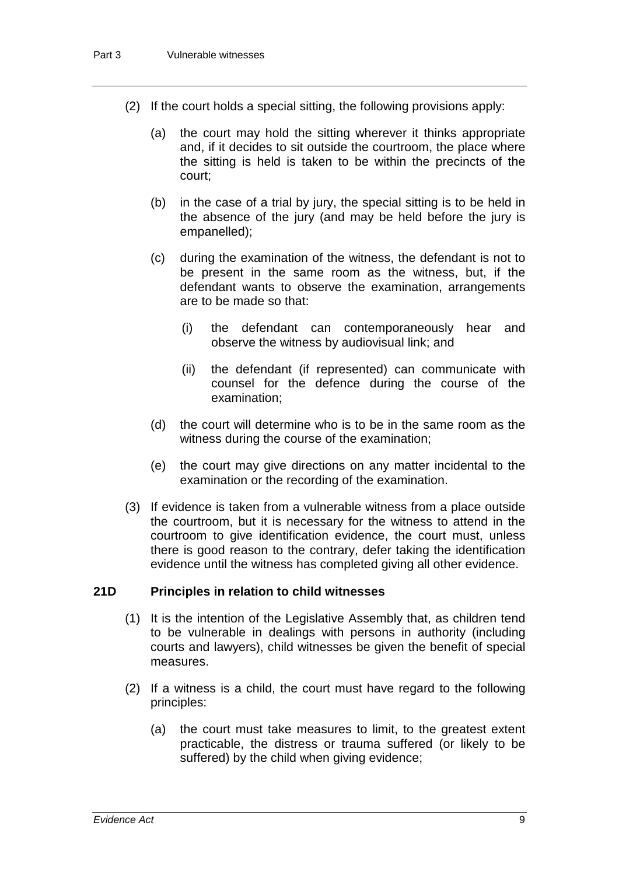- (2) If the court holds a special sitting, the following provisions apply:
	- (a) the court may hold the sitting wherever it thinks appropriate and, if it decides to sit outside the courtroom, the place where the sitting is held is taken to be within the precincts of the court;
	- (b) in the case of a trial by jury, the special sitting is to be held in the absence of the jury (and may be held before the jury is empanelled);
	- (c) during the examination of the witness, the defendant is not to be present in the same room as the witness, but, if the defendant wants to observe the examination, arrangements are to be made so that:
		- (i) the defendant can contemporaneously hear and observe the witness by audiovisual link; and
		- (ii) the defendant (if represented) can communicate with counsel for the defence during the course of the examination;
	- (d) the court will determine who is to be in the same room as the witness during the course of the examination;
	- (e) the court may give directions on any matter incidental to the examination or the recording of the examination.
- (3) If evidence is taken from a vulnerable witness from a place outside the courtroom, but it is necessary for the witness to attend in the courtroom to give identification evidence, the court must, unless there is good reason to the contrary, defer taking the identification evidence until the witness has completed giving all other evidence.

#### **21D Principles in relation to child witnesses**

- (1) It is the intention of the Legislative Assembly that, as children tend to be vulnerable in dealings with persons in authority (including courts and lawyers), child witnesses be given the benefit of special measures.
- (2) If a witness is a child, the court must have regard to the following principles:
	- (a) the court must take measures to limit, to the greatest extent practicable, the distress or trauma suffered (or likely to be suffered) by the child when giving evidence;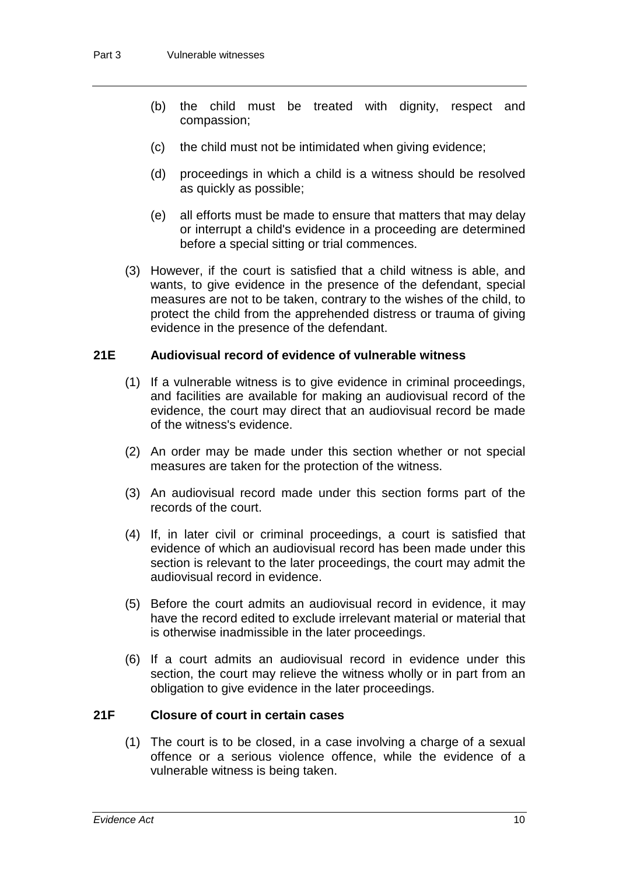- (b) the child must be treated with dignity, respect and compassion;
- (c) the child must not be intimidated when giving evidence;
- (d) proceedings in which a child is a witness should be resolved as quickly as possible;
- (e) all efforts must be made to ensure that matters that may delay or interrupt a child's evidence in a proceeding are determined before a special sitting or trial commences.
- (3) However, if the court is satisfied that a child witness is able, and wants, to give evidence in the presence of the defendant, special measures are not to be taken, contrary to the wishes of the child, to protect the child from the apprehended distress or trauma of giving evidence in the presence of the defendant.

#### **21E Audiovisual record of evidence of vulnerable witness**

- (1) If a vulnerable witness is to give evidence in criminal proceedings, and facilities are available for making an audiovisual record of the evidence, the court may direct that an audiovisual record be made of the witness's evidence.
- (2) An order may be made under this section whether or not special measures are taken for the protection of the witness.
- (3) An audiovisual record made under this section forms part of the records of the court.
- (4) If, in later civil or criminal proceedings, a court is satisfied that evidence of which an audiovisual record has been made under this section is relevant to the later proceedings, the court may admit the audiovisual record in evidence.
- (5) Before the court admits an audiovisual record in evidence, it may have the record edited to exclude irrelevant material or material that is otherwise inadmissible in the later proceedings.
- (6) If a court admits an audiovisual record in evidence under this section, the court may relieve the witness wholly or in part from an obligation to give evidence in the later proceedings.

#### **21F Closure of court in certain cases**

(1) The court is to be closed, in a case involving a charge of a sexual offence or a serious violence offence, while the evidence of a vulnerable witness is being taken.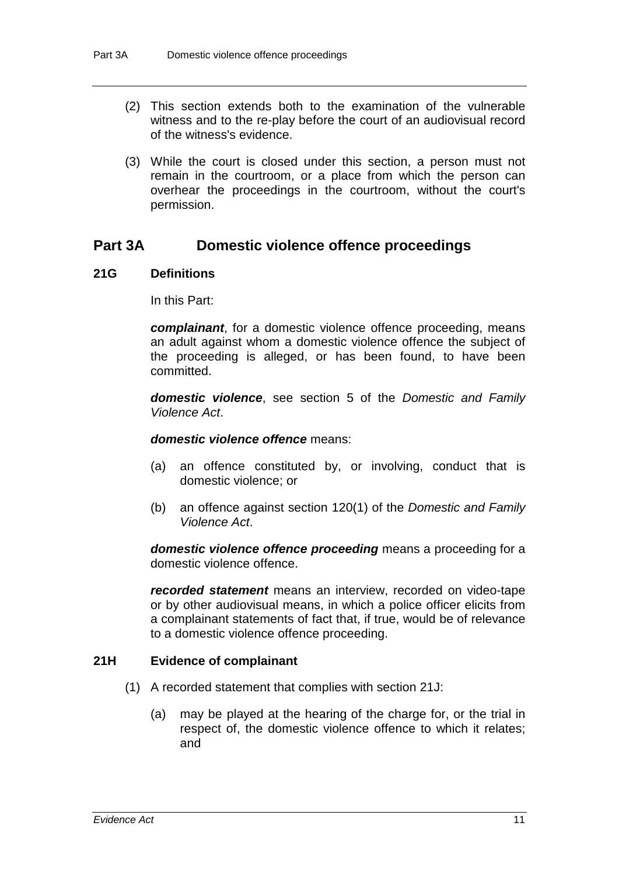- (2) This section extends both to the examination of the vulnerable witness and to the re-play before the court of an audiovisual record of the witness's evidence.
- (3) While the court is closed under this section, a person must not remain in the courtroom, or a place from which the person can overhear the proceedings in the courtroom, without the court's permission.

# **Part 3A Domestic violence offence proceedings**

#### **21G Definitions**

In this Part:

*complainant*, for a domestic violence offence proceeding, means an adult against whom a domestic violence offence the subject of the proceeding is alleged, or has been found, to have been committed.

*domestic violence*, see section 5 of the *Domestic and Family Violence Act*.

#### *domestic violence offence* means:

- (a) an offence constituted by, or involving, conduct that is domestic violence; or
- (b) an offence against section 120(1) of the *Domestic and Family Violence Act*.

*domestic violence offence proceeding* means a proceeding for a domestic violence offence.

*recorded statement* means an interview, recorded on video-tape or by other audiovisual means, in which a police officer elicits from a complainant statements of fact that, if true, would be of relevance to a domestic violence offence proceeding.

#### **21H Evidence of complainant**

- (1) A recorded statement that complies with section 21J:
	- (a) may be played at the hearing of the charge for, or the trial in respect of, the domestic violence offence to which it relates; and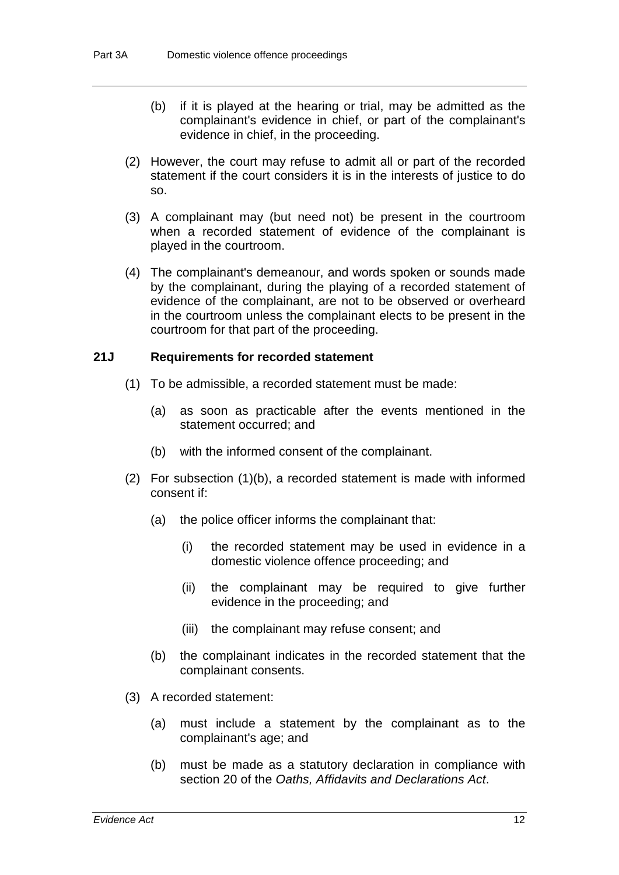- (b) if it is played at the hearing or trial, may be admitted as the complainant's evidence in chief, or part of the complainant's evidence in chief, in the proceeding.
- (2) However, the court may refuse to admit all or part of the recorded statement if the court considers it is in the interests of justice to do so.
- (3) A complainant may (but need not) be present in the courtroom when a recorded statement of evidence of the complainant is played in the courtroom.
- (4) The complainant's demeanour, and words spoken or sounds made by the complainant, during the playing of a recorded statement of evidence of the complainant, are not to be observed or overheard in the courtroom unless the complainant elects to be present in the courtroom for that part of the proceeding.

#### **21J Requirements for recorded statement**

- (1) To be admissible, a recorded statement must be made:
	- (a) as soon as practicable after the events mentioned in the statement occurred; and
	- (b) with the informed consent of the complainant.
- (2) For subsection (1)(b), a recorded statement is made with informed consent if:
	- (a) the police officer informs the complainant that:
		- (i) the recorded statement may be used in evidence in a domestic violence offence proceeding; and
		- (ii) the complainant may be required to give further evidence in the proceeding; and
		- (iii) the complainant may refuse consent; and
	- (b) the complainant indicates in the recorded statement that the complainant consents.
- (3) A recorded statement:
	- (a) must include a statement by the complainant as to the complainant's age; and
	- (b) must be made as a statutory declaration in compliance with section 20 of the *Oaths, Affidavits and Declarations Act*.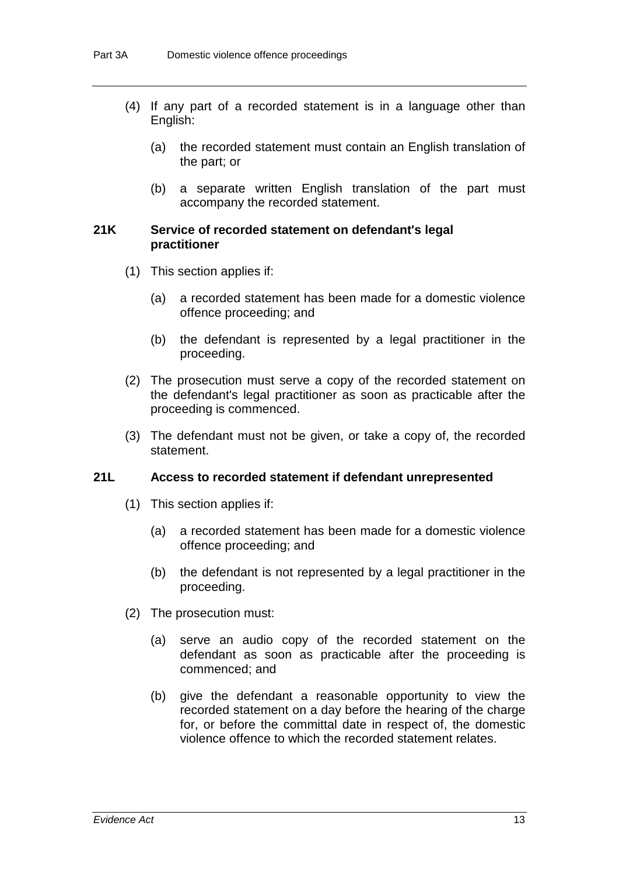- (4) If any part of a recorded statement is in a language other than English:
	- (a) the recorded statement must contain an English translation of the part; or
	- (b) a separate written English translation of the part must accompany the recorded statement.

#### **21K Service of recorded statement on defendant's legal practitioner**

- (1) This section applies if:
	- (a) a recorded statement has been made for a domestic violence offence proceeding; and
	- (b) the defendant is represented by a legal practitioner in the proceeding.
- (2) The prosecution must serve a copy of the recorded statement on the defendant's legal practitioner as soon as practicable after the proceeding is commenced.
- (3) The defendant must not be given, or take a copy of, the recorded statement.

#### **21L Access to recorded statement if defendant unrepresented**

- (1) This section applies if:
	- (a) a recorded statement has been made for a domestic violence offence proceeding; and
	- (b) the defendant is not represented by a legal practitioner in the proceeding.
- (2) The prosecution must:
	- (a) serve an audio copy of the recorded statement on the defendant as soon as practicable after the proceeding is commenced; and
	- (b) give the defendant a reasonable opportunity to view the recorded statement on a day before the hearing of the charge for, or before the committal date in respect of, the domestic violence offence to which the recorded statement relates.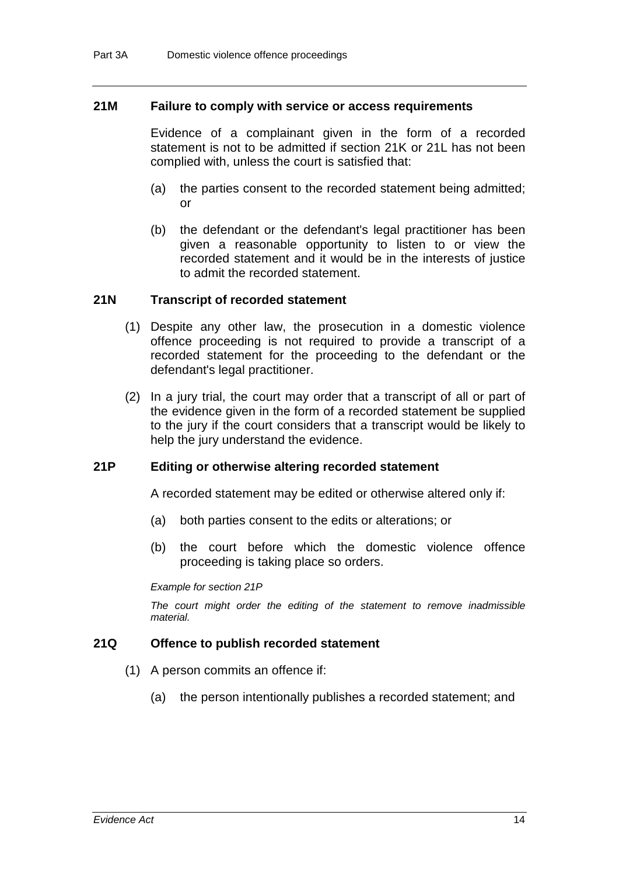#### **21M Failure to comply with service or access requirements**

Evidence of a complainant given in the form of a recorded statement is not to be admitted if section 21K or 21L has not been complied with, unless the court is satisfied that:

- (a) the parties consent to the recorded statement being admitted; or
- (b) the defendant or the defendant's legal practitioner has been given a reasonable opportunity to listen to or view the recorded statement and it would be in the interests of justice to admit the recorded statement.

#### **21N Transcript of recorded statement**

- (1) Despite any other law, the prosecution in a domestic violence offence proceeding is not required to provide a transcript of a recorded statement for the proceeding to the defendant or the defendant's legal practitioner.
- (2) In a jury trial, the court may order that a transcript of all or part of the evidence given in the form of a recorded statement be supplied to the jury if the court considers that a transcript would be likely to help the jury understand the evidence.

#### **21P Editing or otherwise altering recorded statement**

A recorded statement may be edited or otherwise altered only if:

- (a) both parties consent to the edits or alterations; or
- (b) the court before which the domestic violence offence proceeding is taking place so orders.

*Example for section 21P*

*The court might order the editing of the statement to remove inadmissible material.*

#### **21Q Offence to publish recorded statement**

- (1) A person commits an offence if:
	- (a) the person intentionally publishes a recorded statement; and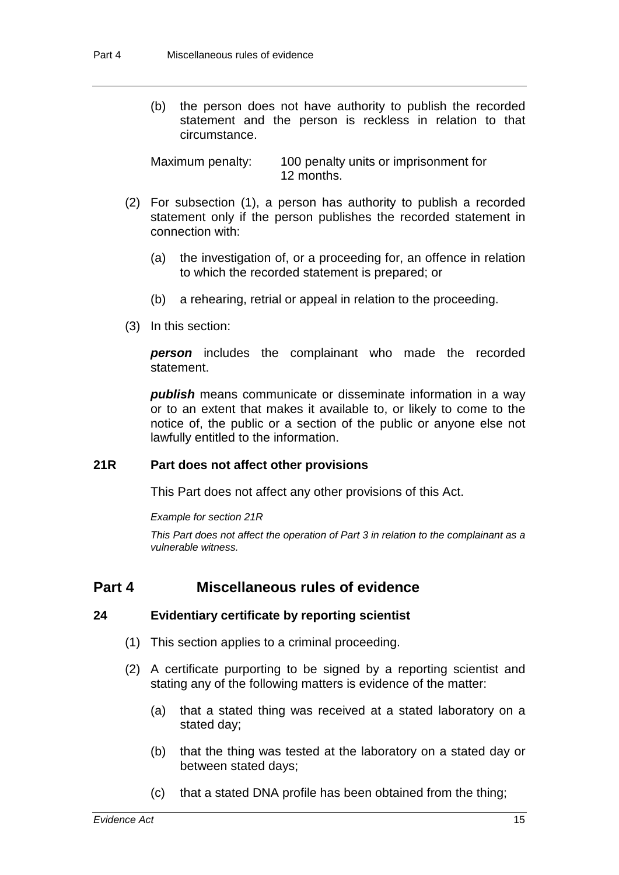(b) the person does not have authority to publish the recorded statement and the person is reckless in relation to that circumstance.

Maximum penalty: 100 penalty units or imprisonment for 12 months.

- (2) For subsection (1), a person has authority to publish a recorded statement only if the person publishes the recorded statement in connection with:
	- (a) the investigation of, or a proceeding for, an offence in relation to which the recorded statement is prepared; or
	- (b) a rehearing, retrial or appeal in relation to the proceeding.
- (3) In this section:

*person* includes the complainant who made the recorded statement.

*publish* means communicate or disseminate information in a way or to an extent that makes it available to, or likely to come to the notice of, the public or a section of the public or anyone else not lawfully entitled to the information.

#### **21R Part does not affect other provisions**

This Part does not affect any other provisions of this Act.

*Example for section 21R*

*This Part does not affect the operation of Part 3 in relation to the complainant as a vulnerable witness.*

# **Part 4 Miscellaneous rules of evidence**

#### **24 Evidentiary certificate by reporting scientist**

- (1) This section applies to a criminal proceeding.
- (2) A certificate purporting to be signed by a reporting scientist and stating any of the following matters is evidence of the matter:
	- (a) that a stated thing was received at a stated laboratory on a stated day;
	- (b) that the thing was tested at the laboratory on a stated day or between stated days;
	- (c) that a stated DNA profile has been obtained from the thing;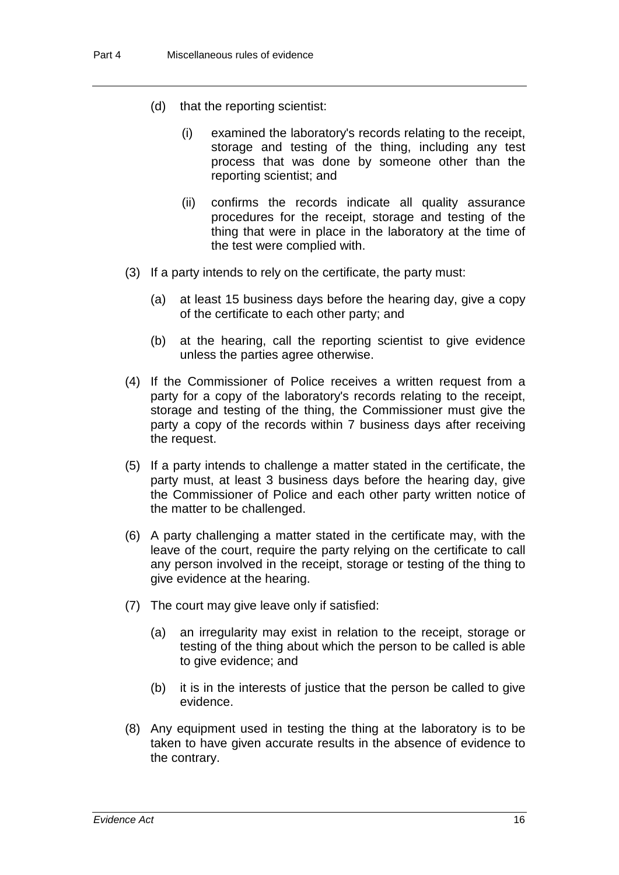- (d) that the reporting scientist:
	- (i) examined the laboratory's records relating to the receipt, storage and testing of the thing, including any test process that was done by someone other than the reporting scientist; and
	- (ii) confirms the records indicate all quality assurance procedures for the receipt, storage and testing of the thing that were in place in the laboratory at the time of the test were complied with.
- (3) If a party intends to rely on the certificate, the party must:
	- (a) at least 15 business days before the hearing day, give a copy of the certificate to each other party; and
	- (b) at the hearing, call the reporting scientist to give evidence unless the parties agree otherwise.
- (4) If the Commissioner of Police receives a written request from a party for a copy of the laboratory's records relating to the receipt, storage and testing of the thing, the Commissioner must give the party a copy of the records within 7 business days after receiving the request.
- (5) If a party intends to challenge a matter stated in the certificate, the party must, at least 3 business days before the hearing day, give the Commissioner of Police and each other party written notice of the matter to be challenged.
- (6) A party challenging a matter stated in the certificate may, with the leave of the court, require the party relying on the certificate to call any person involved in the receipt, storage or testing of the thing to give evidence at the hearing.
- (7) The court may give leave only if satisfied:
	- (a) an irregularity may exist in relation to the receipt, storage or testing of the thing about which the person to be called is able to give evidence; and
	- (b) it is in the interests of justice that the person be called to give evidence.
- (8) Any equipment used in testing the thing at the laboratory is to be taken to have given accurate results in the absence of evidence to the contrary.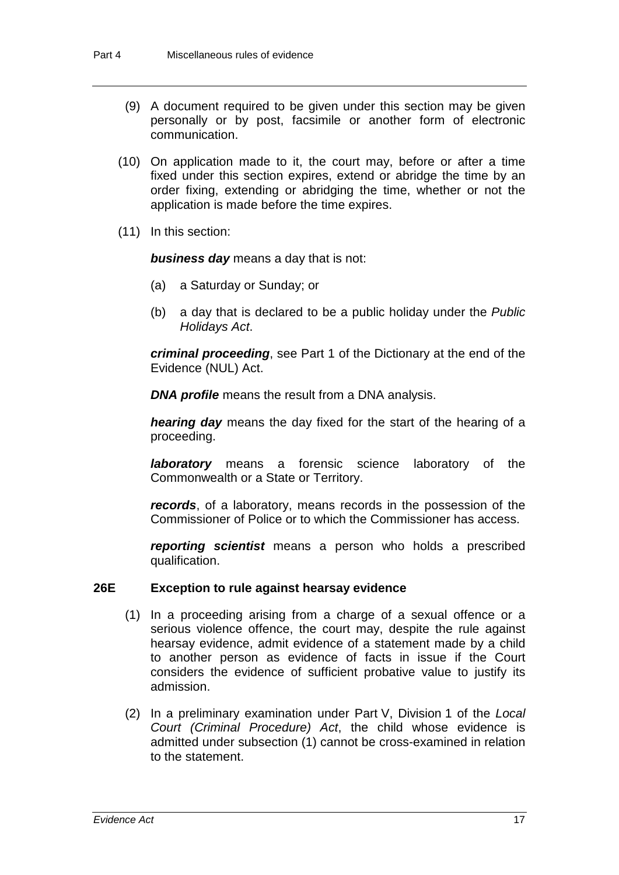- (9) A document required to be given under this section may be given personally or by post, facsimile or another form of electronic communication.
- (10) On application made to it, the court may, before or after a time fixed under this section expires, extend or abridge the time by an order fixing, extending or abridging the time, whether or not the application is made before the time expires.
- (11) In this section:

*business day* means a day that is not:

- (a) a Saturday or Sunday; or
- (b) a day that is declared to be a public holiday under the *Public Holidays Act*.

*criminal proceeding*, see Part 1 of the Dictionary at the end of the Evidence (NUL) Act.

*DNA profile* means the result from a DNA analysis.

*hearing day* means the day fixed for the start of the hearing of a proceeding.

*laboratory* means a forensic science laboratory of the Commonwealth or a State or Territory.

*records*, of a laboratory, means records in the possession of the Commissioner of Police or to which the Commissioner has access.

*reporting scientist* means a person who holds a prescribed qualification.

# **26E Exception to rule against hearsay evidence**

- (1) In a proceeding arising from a charge of a sexual offence or a serious violence offence, the court may, despite the rule against hearsay evidence, admit evidence of a statement made by a child to another person as evidence of facts in issue if the Court considers the evidence of sufficient probative value to justify its admission.
- (2) In a preliminary examination under Part V, Division 1 of the *Local Court (Criminal Procedure) Act*, the child whose evidence is admitted under subsection (1) cannot be cross-examined in relation to the statement.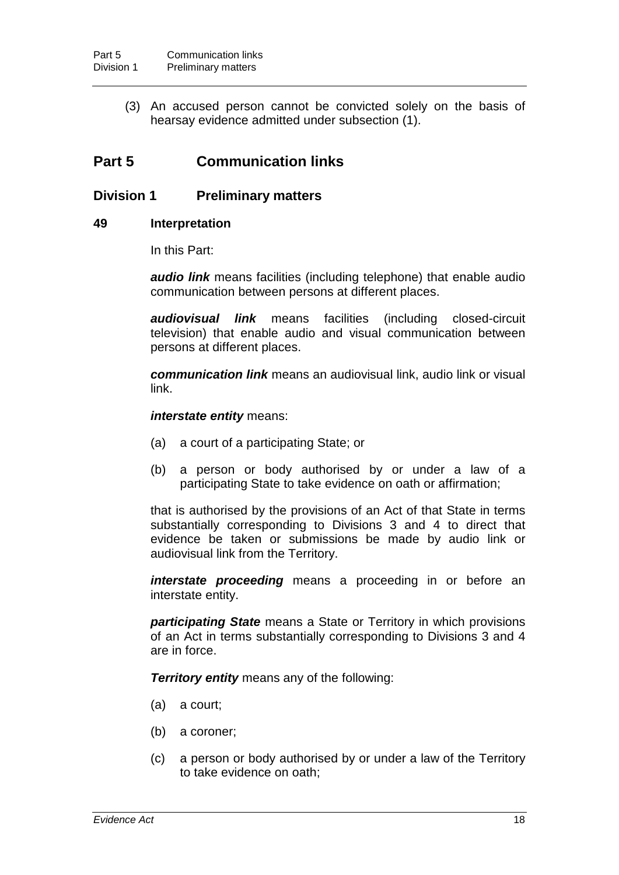(3) An accused person cannot be convicted solely on the basis of hearsay evidence admitted under subsection (1).

# **Part 5 Communication links**

# **Division 1 Preliminary matters**

# **49 Interpretation**

In this Part:

*audio link* means facilities (including telephone) that enable audio communication between persons at different places.

*audiovisual link* means facilities (including closed-circuit television) that enable audio and visual communication between persons at different places.

*communication link* means an audiovisual link, audio link or visual link.

*interstate entity* means:

- (a) a court of a participating State; or
- (b) a person or body authorised by or under a law of a participating State to take evidence on oath or affirmation;

that is authorised by the provisions of an Act of that State in terms substantially corresponding to Divisions 3 and 4 to direct that evidence be taken or submissions be made by audio link or audiovisual link from the Territory.

*interstate proceeding* means a proceeding in or before an interstate entity.

*participating State* means a State or Territory in which provisions of an Act in terms substantially corresponding to Divisions 3 and 4 are in force.

*Territory entity* means any of the following:

- (a) a court;
- (b) a coroner;
- (c) a person or body authorised by or under a law of the Territory to take evidence on oath;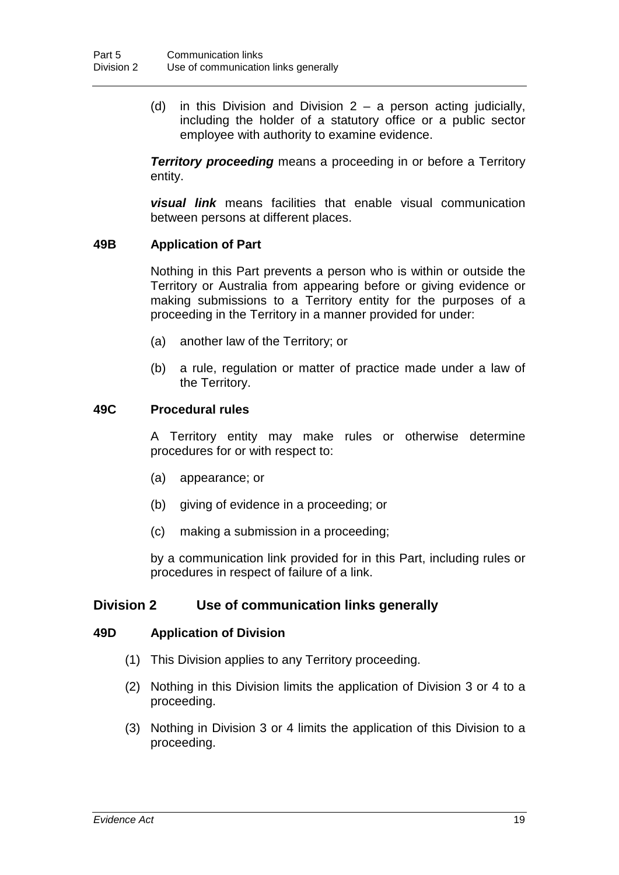(d) in this Division and Division  $2 - a$  person acting judicially, including the holder of a statutory office or a public sector employee with authority to examine evidence.

**Territory proceeding** means a proceeding in or before a Territory entity.

*visual link* means facilities that enable visual communication between persons at different places.

# **49B Application of Part**

Nothing in this Part prevents a person who is within or outside the Territory or Australia from appearing before or giving evidence or making submissions to a Territory entity for the purposes of a proceeding in the Territory in a manner provided for under:

- (a) another law of the Territory; or
- (b) a rule, regulation or matter of practice made under a law of the Territory.

#### **49C Procedural rules**

A Territory entity may make rules or otherwise determine procedures for or with respect to:

- (a) appearance; or
- (b) giving of evidence in a proceeding; or
- (c) making a submission in a proceeding;

by a communication link provided for in this Part, including rules or procedures in respect of failure of a link.

# **Division 2 Use of communication links generally**

#### **49D Application of Division**

- (1) This Division applies to any Territory proceeding.
- (2) Nothing in this Division limits the application of Division 3 or 4 to a proceeding.
- (3) Nothing in Division 3 or 4 limits the application of this Division to a proceeding.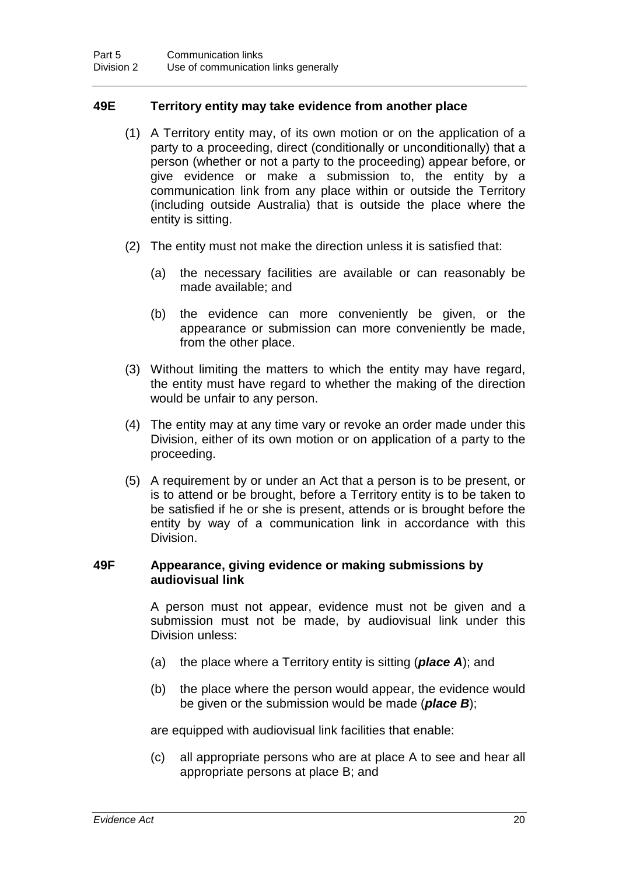# **49E Territory entity may take evidence from another place**

- (1) A Territory entity may, of its own motion or on the application of a party to a proceeding, direct (conditionally or unconditionally) that a person (whether or not a party to the proceeding) appear before, or give evidence or make a submission to, the entity by a communication link from any place within or outside the Territory (including outside Australia) that is outside the place where the entity is sitting.
- (2) The entity must not make the direction unless it is satisfied that:
	- (a) the necessary facilities are available or can reasonably be made available; and
	- (b) the evidence can more conveniently be given, or the appearance or submission can more conveniently be made, from the other place.
- (3) Without limiting the matters to which the entity may have regard, the entity must have regard to whether the making of the direction would be unfair to any person.
- (4) The entity may at any time vary or revoke an order made under this Division, either of its own motion or on application of a party to the proceeding.
- (5) A requirement by or under an Act that a person is to be present, or is to attend or be brought, before a Territory entity is to be taken to be satisfied if he or she is present, attends or is brought before the entity by way of a communication link in accordance with this Division.

#### **49F Appearance, giving evidence or making submissions by audiovisual link**

A person must not appear, evidence must not be given and a submission must not be made, by audiovisual link under this Division unless:

- (a) the place where a Territory entity is sitting (*place A*); and
- (b) the place where the person would appear, the evidence would be given or the submission would be made (*place B*);

are equipped with audiovisual link facilities that enable:

(c) all appropriate persons who are at place A to see and hear all appropriate persons at place B; and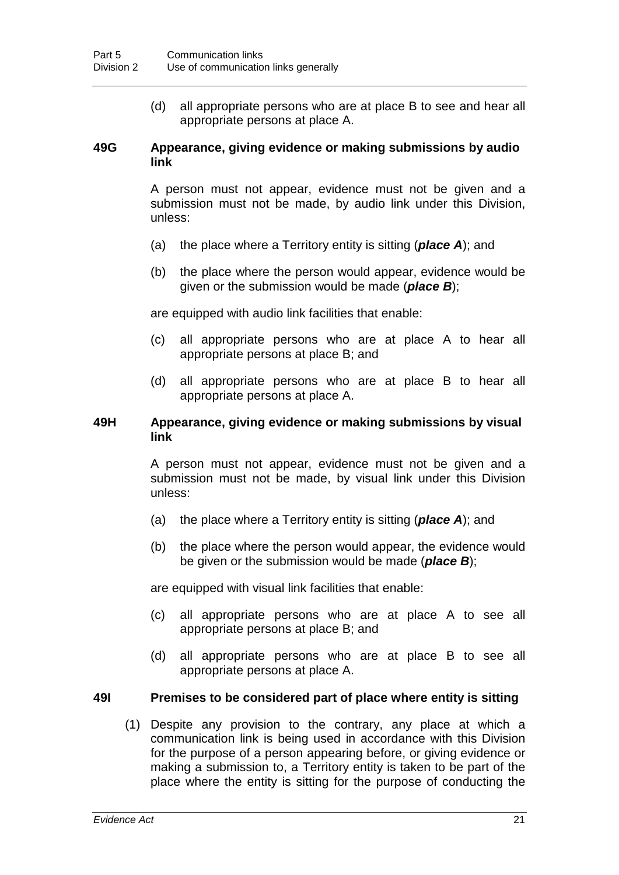(d) all appropriate persons who are at place B to see and hear all appropriate persons at place A.

#### **49G Appearance, giving evidence or making submissions by audio link**

A person must not appear, evidence must not be given and a submission must not be made, by audio link under this Division, unless:

- (a) the place where a Territory entity is sitting (*place A*); and
- (b) the place where the person would appear, evidence would be given or the submission would be made (*place B*);

are equipped with audio link facilities that enable:

- (c) all appropriate persons who are at place A to hear all appropriate persons at place B; and
- (d) all appropriate persons who are at place B to hear all appropriate persons at place A.

# **49H Appearance, giving evidence or making submissions by visual link**

A person must not appear, evidence must not be given and a submission must not be made, by visual link under this Division unless:

- (a) the place where a Territory entity is sitting (*place A*); and
- (b) the place where the person would appear, the evidence would be given or the submission would be made (*place B*);

are equipped with visual link facilities that enable:

- (c) all appropriate persons who are at place A to see all appropriate persons at place B; and
- (d) all appropriate persons who are at place B to see all appropriate persons at place A.

# **49I Premises to be considered part of place where entity is sitting**

(1) Despite any provision to the contrary, any place at which a communication link is being used in accordance with this Division for the purpose of a person appearing before, or giving evidence or making a submission to, a Territory entity is taken to be part of the place where the entity is sitting for the purpose of conducting the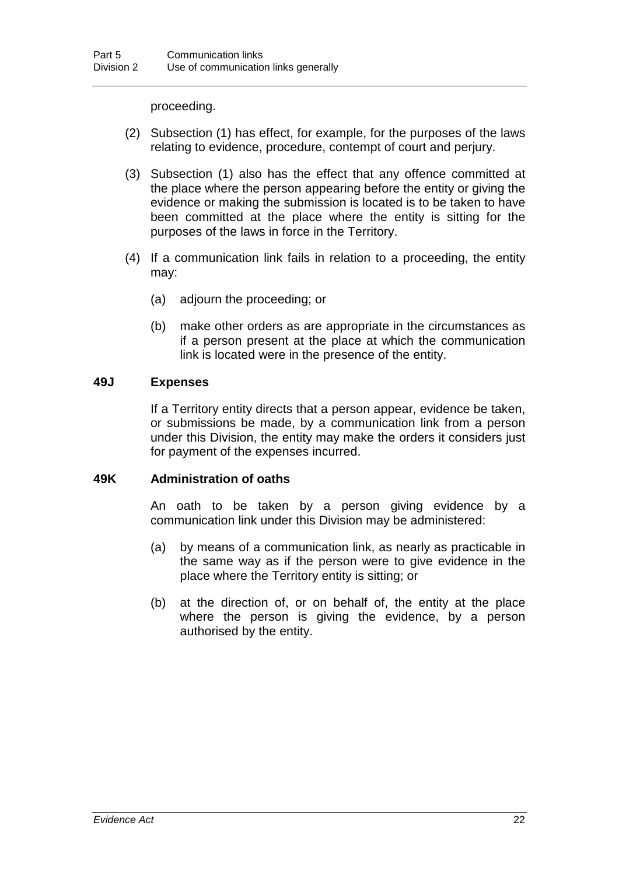proceeding.

- (2) Subsection (1) has effect, for example, for the purposes of the laws relating to evidence, procedure, contempt of court and perjury.
- (3) Subsection (1) also has the effect that any offence committed at the place where the person appearing before the entity or giving the evidence or making the submission is located is to be taken to have been committed at the place where the entity is sitting for the purposes of the laws in force in the Territory.
- (4) If a communication link fails in relation to a proceeding, the entity may:
	- (a) adjourn the proceeding; or
	- (b) make other orders as are appropriate in the circumstances as if a person present at the place at which the communication link is located were in the presence of the entity.

# **49J Expenses**

If a Territory entity directs that a person appear, evidence be taken, or submissions be made, by a communication link from a person under this Division, the entity may make the orders it considers just for payment of the expenses incurred.

# **49K Administration of oaths**

An oath to be taken by a person giving evidence by a communication link under this Division may be administered:

- (a) by means of a communication link, as nearly as practicable in the same way as if the person were to give evidence in the place where the Territory entity is sitting; or
- (b) at the direction of, or on behalf of, the entity at the place where the person is giving the evidence, by a person authorised by the entity.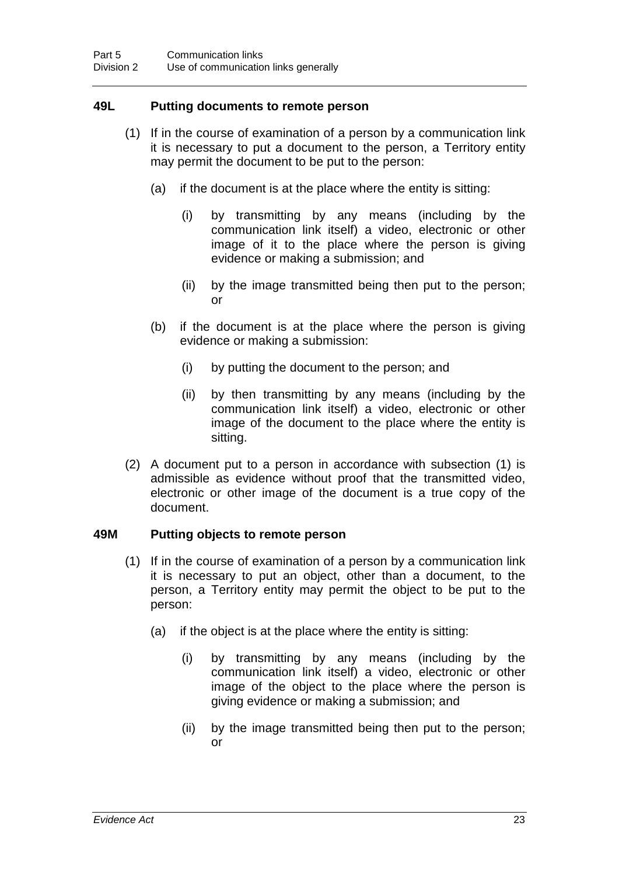# **49L Putting documents to remote person**

- (1) If in the course of examination of a person by a communication link it is necessary to put a document to the person, a Territory entity may permit the document to be put to the person:
	- (a) if the document is at the place where the entity is sitting:
		- (i) by transmitting by any means (including by the communication link itself) a video, electronic or other image of it to the place where the person is giving evidence or making a submission; and
		- (ii) by the image transmitted being then put to the person; or
	- (b) if the document is at the place where the person is giving evidence or making a submission:
		- (i) by putting the document to the person; and
		- (ii) by then transmitting by any means (including by the communication link itself) a video, electronic or other image of the document to the place where the entity is sitting.
- (2) A document put to a person in accordance with subsection (1) is admissible as evidence without proof that the transmitted video, electronic or other image of the document is a true copy of the document.

# **49M Putting objects to remote person**

- (1) If in the course of examination of a person by a communication link it is necessary to put an object, other than a document, to the person, a Territory entity may permit the object to be put to the person:
	- (a) if the object is at the place where the entity is sitting:
		- (i) by transmitting by any means (including by the communication link itself) a video, electronic or other image of the object to the place where the person is giving evidence or making a submission; and
		- (ii) by the image transmitted being then put to the person; or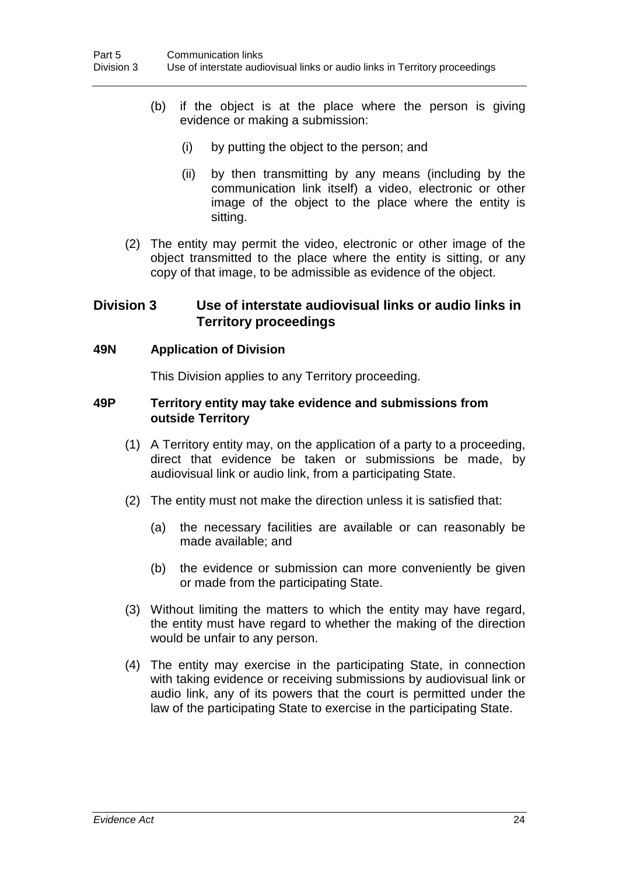- (b) if the object is at the place where the person is giving evidence or making a submission:
	- (i) by putting the object to the person; and
	- (ii) by then transmitting by any means (including by the communication link itself) a video, electronic or other image of the object to the place where the entity is sitting.
- (2) The entity may permit the video, electronic or other image of the object transmitted to the place where the entity is sitting, or any copy of that image, to be admissible as evidence of the object.

# **Division 3 Use of interstate audiovisual links or audio links in Territory proceedings**

#### **49N Application of Division**

This Division applies to any Territory proceeding.

#### **49P Territory entity may take evidence and submissions from outside Territory**

- (1) A Territory entity may, on the application of a party to a proceeding, direct that evidence be taken or submissions be made, by audiovisual link or audio link, from a participating State.
- (2) The entity must not make the direction unless it is satisfied that:
	- (a) the necessary facilities are available or can reasonably be made available; and
	- (b) the evidence or submission can more conveniently be given or made from the participating State.
- (3) Without limiting the matters to which the entity may have regard, the entity must have regard to whether the making of the direction would be unfair to any person.
- (4) The entity may exercise in the participating State, in connection with taking evidence or receiving submissions by audiovisual link or audio link, any of its powers that the court is permitted under the law of the participating State to exercise in the participating State.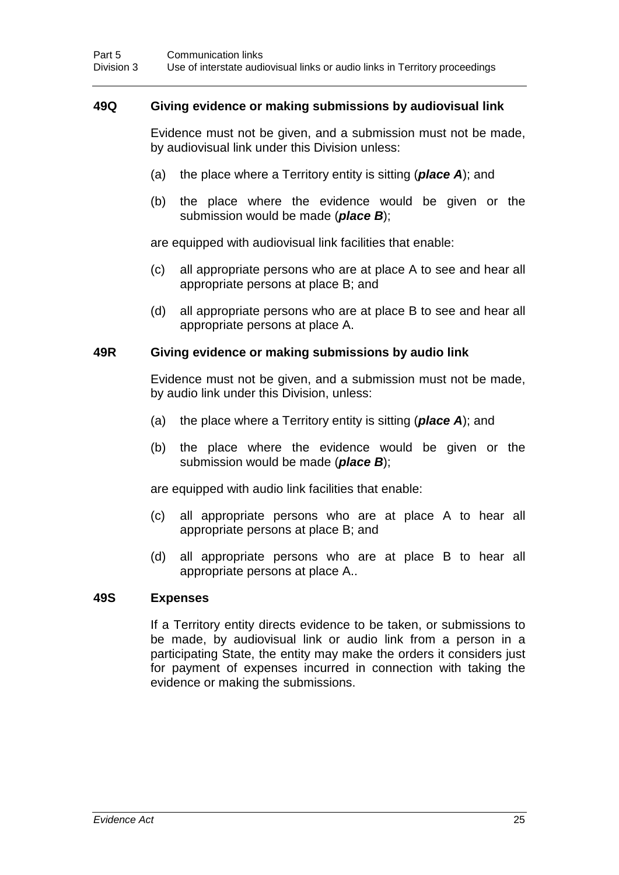#### **49Q Giving evidence or making submissions by audiovisual link**

Evidence must not be given, and a submission must not be made, by audiovisual link under this Division unless:

- (a) the place where a Territory entity is sitting (*place A*); and
- (b) the place where the evidence would be given or the submission would be made (*place B*);

are equipped with audiovisual link facilities that enable:

- (c) all appropriate persons who are at place A to see and hear all appropriate persons at place B; and
- (d) all appropriate persons who are at place B to see and hear all appropriate persons at place A.

#### **49R Giving evidence or making submissions by audio link**

Evidence must not be given, and a submission must not be made, by audio link under this Division, unless:

- (a) the place where a Territory entity is sitting (*place A*); and
- (b) the place where the evidence would be given or the submission would be made (*place B*);

are equipped with audio link facilities that enable:

- (c) all appropriate persons who are at place A to hear all appropriate persons at place B; and
- (d) all appropriate persons who are at place B to hear all appropriate persons at place A..

#### **49S Expenses**

If a Territory entity directs evidence to be taken, or submissions to be made, by audiovisual link or audio link from a person in a participating State, the entity may make the orders it considers just for payment of expenses incurred in connection with taking the evidence or making the submissions.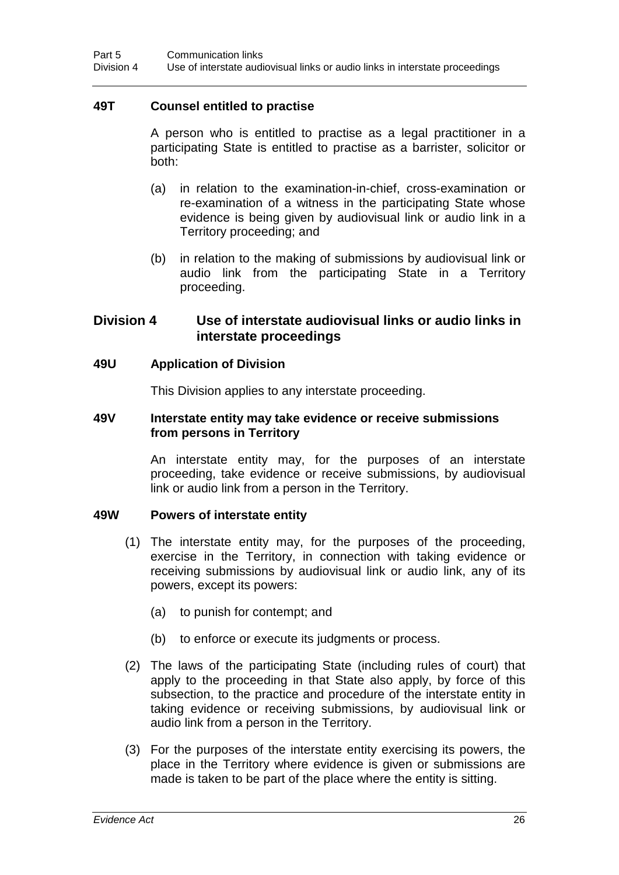# **49T Counsel entitled to practise**

A person who is entitled to practise as a legal practitioner in a participating State is entitled to practise as a barrister, solicitor or both:

- (a) in relation to the examination-in-chief, cross-examination or re-examination of a witness in the participating State whose evidence is being given by audiovisual link or audio link in a Territory proceeding; and
- (b) in relation to the making of submissions by audiovisual link or audio link from the participating State in a Territory proceeding.

# **Division 4 Use of interstate audiovisual links or audio links in interstate proceedings**

# **49U Application of Division**

This Division applies to any interstate proceeding.

#### **49V Interstate entity may take evidence or receive submissions from persons in Territory**

An interstate entity may, for the purposes of an interstate proceeding, take evidence or receive submissions, by audiovisual link or audio link from a person in the Territory.

# **49W Powers of interstate entity**

- (1) The interstate entity may, for the purposes of the proceeding, exercise in the Territory, in connection with taking evidence or receiving submissions by audiovisual link or audio link, any of its powers, except its powers:
	- (a) to punish for contempt; and
	- (b) to enforce or execute its judgments or process.
- (2) The laws of the participating State (including rules of court) that apply to the proceeding in that State also apply, by force of this subsection, to the practice and procedure of the interstate entity in taking evidence or receiving submissions, by audiovisual link or audio link from a person in the Territory.
- (3) For the purposes of the interstate entity exercising its powers, the place in the Territory where evidence is given or submissions are made is taken to be part of the place where the entity is sitting.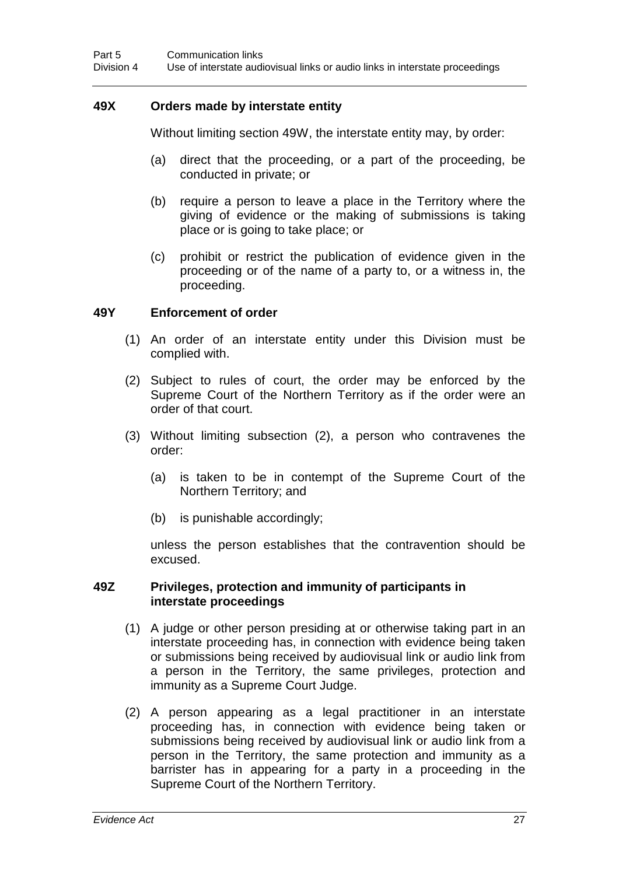# **49X Orders made by interstate entity**

Without limiting section 49W, the interstate entity may, by order:

- (a) direct that the proceeding, or a part of the proceeding, be conducted in private; or
- (b) require a person to leave a place in the Territory where the giving of evidence or the making of submissions is taking place or is going to take place; or
- (c) prohibit or restrict the publication of evidence given in the proceeding or of the name of a party to, or a witness in, the proceeding.

#### **49Y Enforcement of order**

- (1) An order of an interstate entity under this Division must be complied with.
- (2) Subject to rules of court, the order may be enforced by the Supreme Court of the Northern Territory as if the order were an order of that court.
- (3) Without limiting subsection (2), a person who contravenes the order:
	- (a) is taken to be in contempt of the Supreme Court of the Northern Territory; and
	- (b) is punishable accordingly;

unless the person establishes that the contravention should be excused.

#### **49Z Privileges, protection and immunity of participants in interstate proceedings**

- (1) A judge or other person presiding at or otherwise taking part in an interstate proceeding has, in connection with evidence being taken or submissions being received by audiovisual link or audio link from a person in the Territory, the same privileges, protection and immunity as a Supreme Court Judge.
- (2) A person appearing as a legal practitioner in an interstate proceeding has, in connection with evidence being taken or submissions being received by audiovisual link or audio link from a person in the Territory, the same protection and immunity as a barrister has in appearing for a party in a proceeding in the Supreme Court of the Northern Territory.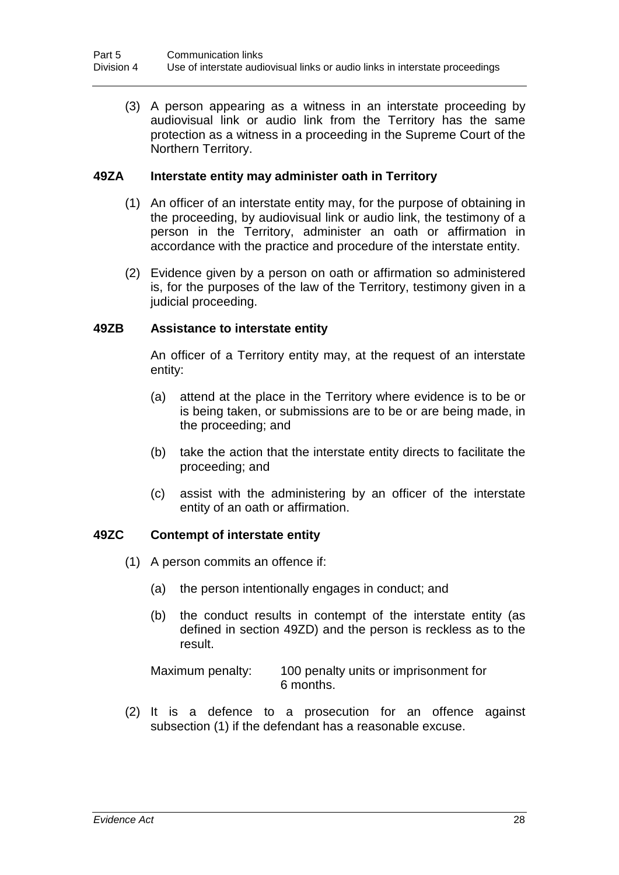(3) A person appearing as a witness in an interstate proceeding by audiovisual link or audio link from the Territory has the same protection as a witness in a proceeding in the Supreme Court of the Northern Territory.

# **49ZA Interstate entity may administer oath in Territory**

- (1) An officer of an interstate entity may, for the purpose of obtaining in the proceeding, by audiovisual link or audio link, the testimony of a person in the Territory, administer an oath or affirmation in accordance with the practice and procedure of the interstate entity.
- (2) Evidence given by a person on oath or affirmation so administered is, for the purposes of the law of the Territory, testimony given in a judicial proceeding.

# **49ZB Assistance to interstate entity**

An officer of a Territory entity may, at the request of an interstate entity:

- (a) attend at the place in the Territory where evidence is to be or is being taken, or submissions are to be or are being made, in the proceeding; and
- (b) take the action that the interstate entity directs to facilitate the proceeding; and
- (c) assist with the administering by an officer of the interstate entity of an oath or affirmation.

# **49ZC Contempt of interstate entity**

- (1) A person commits an offence if:
	- (a) the person intentionally engages in conduct; and
	- (b) the conduct results in contempt of the interstate entity (as defined in section 49ZD) and the person is reckless as to the result.

Maximum penalty: 100 penalty units or imprisonment for 6 months.

(2) It is a defence to a prosecution for an offence against subsection (1) if the defendant has a reasonable excuse.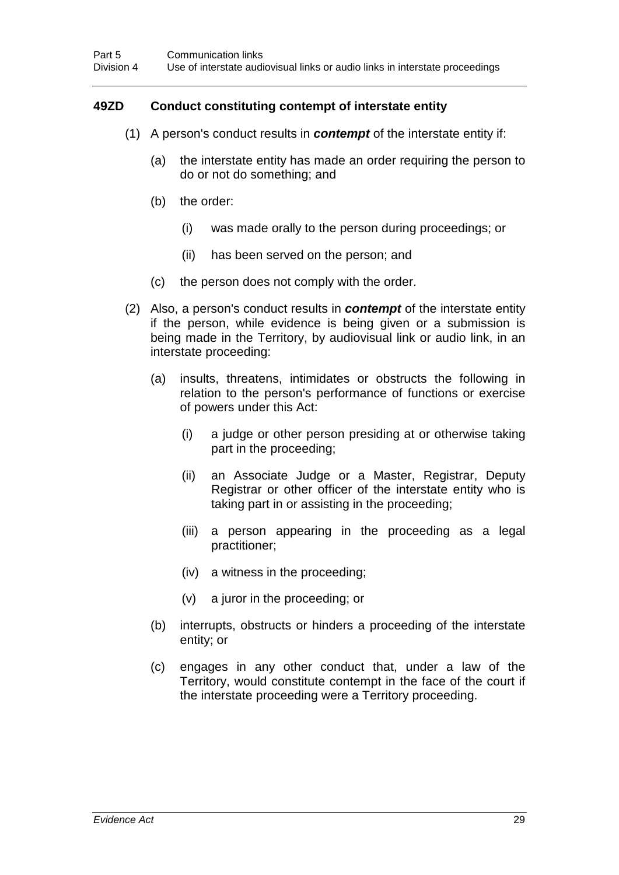# **49ZD Conduct constituting contempt of interstate entity**

- (1) A person's conduct results in *contempt* of the interstate entity if:
	- (a) the interstate entity has made an order requiring the person to do or not do something; and
	- (b) the order:
		- (i) was made orally to the person during proceedings; or
		- (ii) has been served on the person; and
	- (c) the person does not comply with the order.
- (2) Also, a person's conduct results in *contempt* of the interstate entity if the person, while evidence is being given or a submission is being made in the Territory, by audiovisual link or audio link, in an interstate proceeding:
	- (a) insults, threatens, intimidates or obstructs the following in relation to the person's performance of functions or exercise of powers under this Act:
		- (i) a judge or other person presiding at or otherwise taking part in the proceeding;
		- (ii) an Associate Judge or a Master, Registrar, Deputy Registrar or other officer of the interstate entity who is taking part in or assisting in the proceeding;
		- (iii) a person appearing in the proceeding as a legal practitioner;
		- (iv) a witness in the proceeding;
		- (v) a juror in the proceeding; or
	- (b) interrupts, obstructs or hinders a proceeding of the interstate entity; or
	- (c) engages in any other conduct that, under a law of the Territory, would constitute contempt in the face of the court if the interstate proceeding were a Territory proceeding.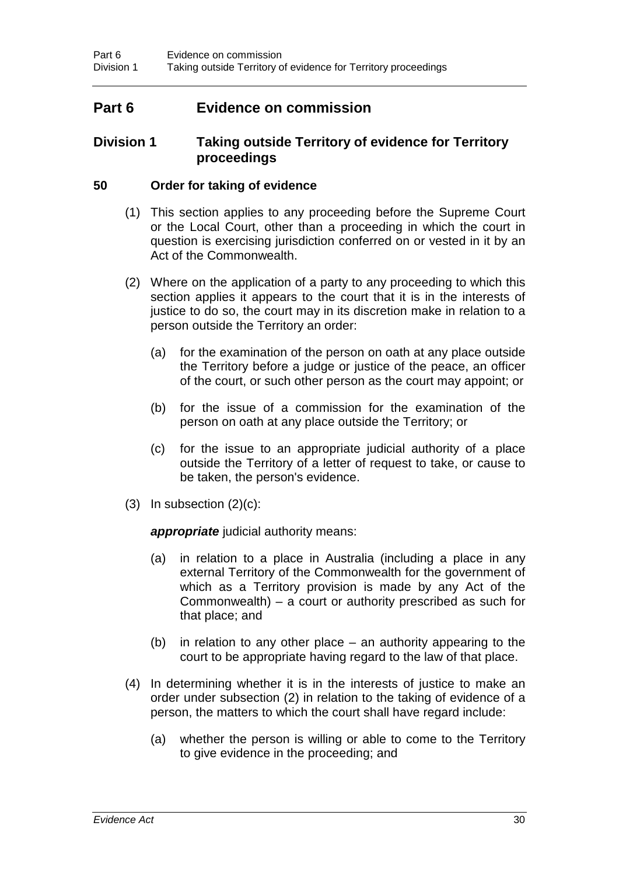# **Part 6 Evidence on commission**

# **Division 1 Taking outside Territory of evidence for Territory proceedings**

# **50 Order for taking of evidence**

- (1) This section applies to any proceeding before the Supreme Court or the Local Court, other than a proceeding in which the court in question is exercising jurisdiction conferred on or vested in it by an Act of the Commonwealth.
- (2) Where on the application of a party to any proceeding to which this section applies it appears to the court that it is in the interests of justice to do so, the court may in its discretion make in relation to a person outside the Territory an order:
	- (a) for the examination of the person on oath at any place outside the Territory before a judge or justice of the peace, an officer of the court, or such other person as the court may appoint; or
	- (b) for the issue of a commission for the examination of the person on oath at any place outside the Territory; or
	- (c) for the issue to an appropriate judicial authority of a place outside the Territory of a letter of request to take, or cause to be taken, the person's evidence.
- $(3)$  In subsection  $(2)(c)$ :

*appropriate* judicial authority means:

- (a) in relation to a place in Australia (including a place in any external Territory of the Commonwealth for the government of which as a Territory provision is made by any Act of the Commonwealth) – a court or authority prescribed as such for that place; and
- (b) in relation to any other place an authority appearing to the court to be appropriate having regard to the law of that place.
- (4) In determining whether it is in the interests of justice to make an order under subsection (2) in relation to the taking of evidence of a person, the matters to which the court shall have regard include:
	- (a) whether the person is willing or able to come to the Territory to give evidence in the proceeding; and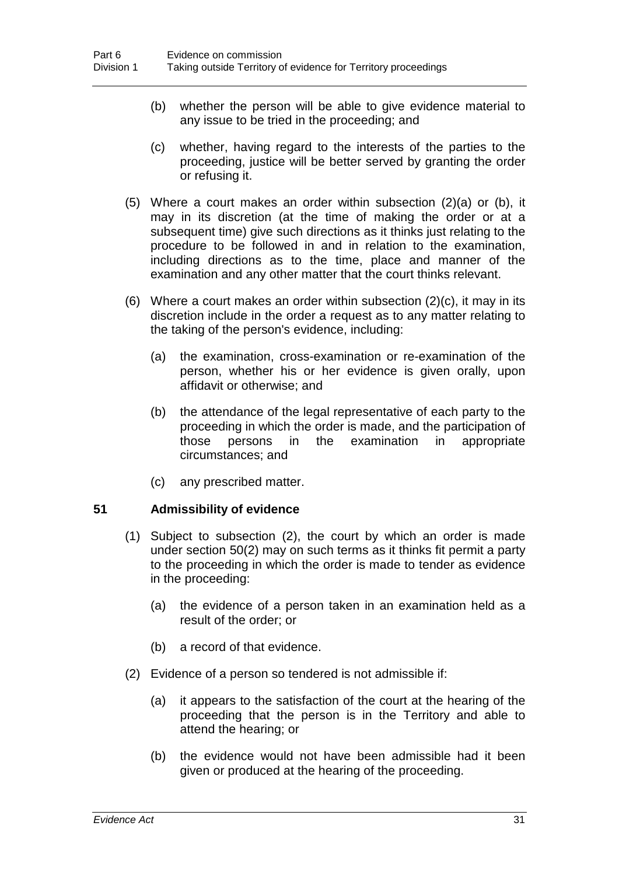- (b) whether the person will be able to give evidence material to any issue to be tried in the proceeding; and
- (c) whether, having regard to the interests of the parties to the proceeding, justice will be better served by granting the order or refusing it.
- (5) Where a court makes an order within subsection (2)(a) or (b), it may in its discretion (at the time of making the order or at a subsequent time) give such directions as it thinks just relating to the procedure to be followed in and in relation to the examination, including directions as to the time, place and manner of the examination and any other matter that the court thinks relevant.
- (6) Where a court makes an order within subsection (2)(c), it may in its discretion include in the order a request as to any matter relating to the taking of the person's evidence, including:
	- (a) the examination, cross-examination or re-examination of the person, whether his or her evidence is given orally, upon affidavit or otherwise; and
	- (b) the attendance of the legal representative of each party to the proceeding in which the order is made, and the participation of those persons in the examination in appropriate circumstances; and
	- (c) any prescribed matter.

# **51 Admissibility of evidence**

- (1) Subject to subsection (2), the court by which an order is made under section 50(2) may on such terms as it thinks fit permit a party to the proceeding in which the order is made to tender as evidence in the proceeding:
	- (a) the evidence of a person taken in an examination held as a result of the order; or
	- (b) a record of that evidence.
- (2) Evidence of a person so tendered is not admissible if:
	- (a) it appears to the satisfaction of the court at the hearing of the proceeding that the person is in the Territory and able to attend the hearing; or
	- (b) the evidence would not have been admissible had it been given or produced at the hearing of the proceeding.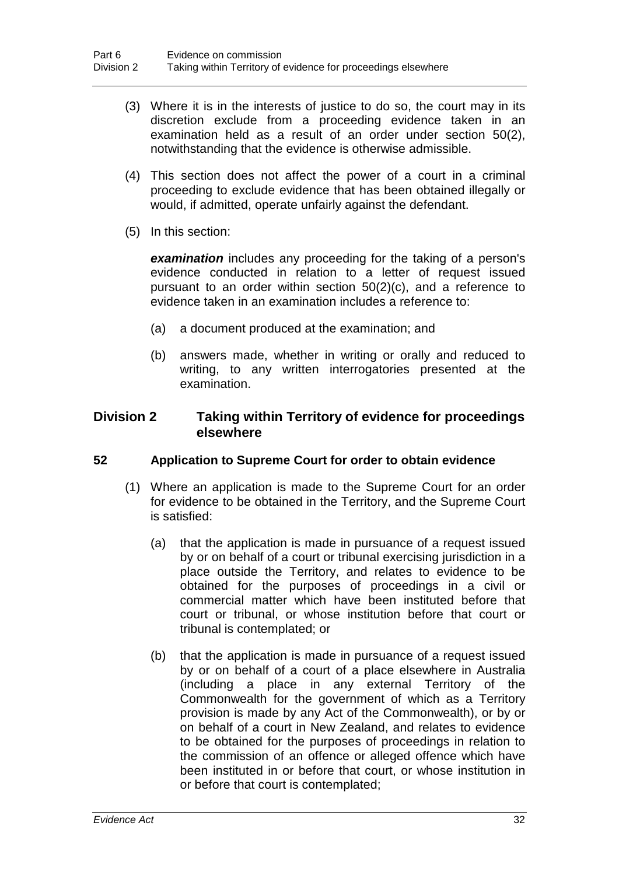- (3) Where it is in the interests of justice to do so, the court may in its discretion exclude from a proceeding evidence taken in an examination held as a result of an order under section 50(2), notwithstanding that the evidence is otherwise admissible.
- (4) This section does not affect the power of a court in a criminal proceeding to exclude evidence that has been obtained illegally or would, if admitted, operate unfairly against the defendant.
- (5) In this section:

*examination* includes any proceeding for the taking of a person's evidence conducted in relation to a letter of request issued pursuant to an order within section 50(2)(c), and a reference to evidence taken in an examination includes a reference to:

- (a) a document produced at the examination; and
- (b) answers made, whether in writing or orally and reduced to writing, to any written interrogatories presented at the examination.

# **Division 2 Taking within Territory of evidence for proceedings elsewhere**

# **52 Application to Supreme Court for order to obtain evidence**

- (1) Where an application is made to the Supreme Court for an order for evidence to be obtained in the Territory, and the Supreme Court is satisfied:
	- (a) that the application is made in pursuance of a request issued by or on behalf of a court or tribunal exercising jurisdiction in a place outside the Territory, and relates to evidence to be obtained for the purposes of proceedings in a civil or commercial matter which have been instituted before that court or tribunal, or whose institution before that court or tribunal is contemplated; or
	- (b) that the application is made in pursuance of a request issued by or on behalf of a court of a place elsewhere in Australia (including a place in any external Territory of the Commonwealth for the government of which as a Territory provision is made by any Act of the Commonwealth), or by or on behalf of a court in New Zealand, and relates to evidence to be obtained for the purposes of proceedings in relation to the commission of an offence or alleged offence which have been instituted in or before that court, or whose institution in or before that court is contemplated;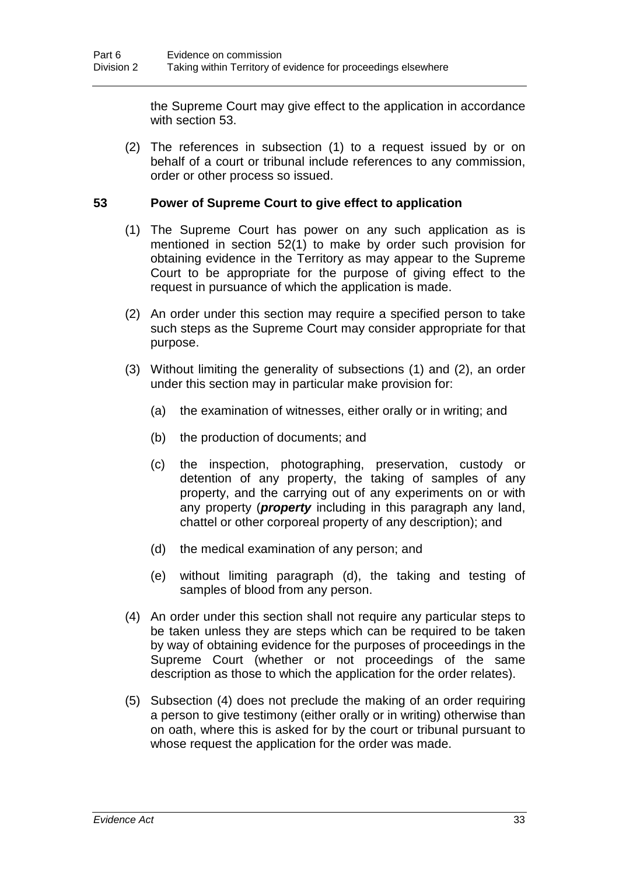the Supreme Court may give effect to the application in accordance with section 53.

(2) The references in subsection (1) to a request issued by or on behalf of a court or tribunal include references to any commission, order or other process so issued.

# **53 Power of Supreme Court to give effect to application**

- (1) The Supreme Court has power on any such application as is mentioned in section 52(1) to make by order such provision for obtaining evidence in the Territory as may appear to the Supreme Court to be appropriate for the purpose of giving effect to the request in pursuance of which the application is made.
- (2) An order under this section may require a specified person to take such steps as the Supreme Court may consider appropriate for that purpose.
- (3) Without limiting the generality of subsections (1) and (2), an order under this section may in particular make provision for:
	- (a) the examination of witnesses, either orally or in writing; and
	- (b) the production of documents; and
	- (c) the inspection, photographing, preservation, custody or detention of any property, the taking of samples of any property, and the carrying out of any experiments on or with any property (*property* including in this paragraph any land, chattel or other corporeal property of any description); and
	- (d) the medical examination of any person; and
	- (e) without limiting paragraph (d), the taking and testing of samples of blood from any person.
- (4) An order under this section shall not require any particular steps to be taken unless they are steps which can be required to be taken by way of obtaining evidence for the purposes of proceedings in the Supreme Court (whether or not proceedings of the same description as those to which the application for the order relates).
- (5) Subsection (4) does not preclude the making of an order requiring a person to give testimony (either orally or in writing) otherwise than on oath, where this is asked for by the court or tribunal pursuant to whose request the application for the order was made.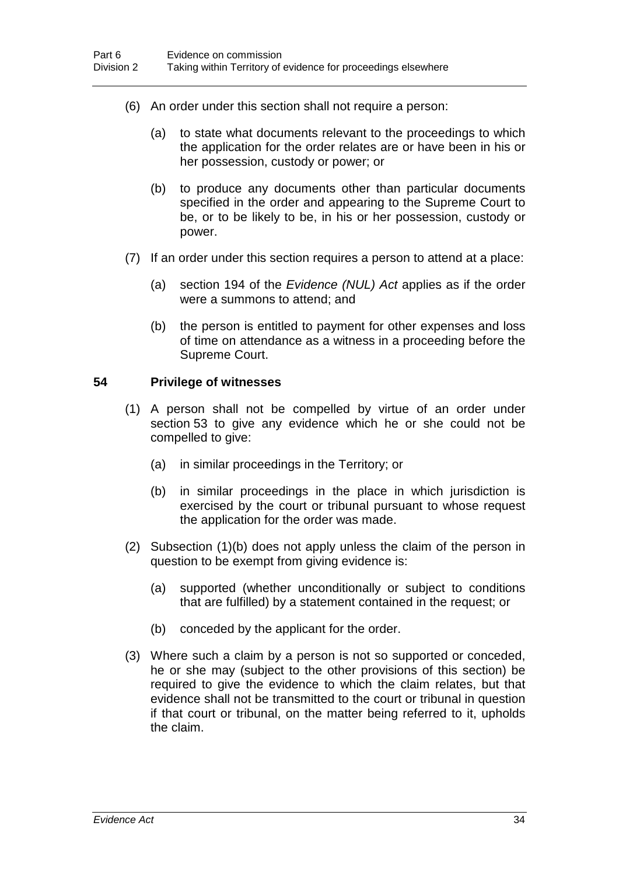- (6) An order under this section shall not require a person:
	- (a) to state what documents relevant to the proceedings to which the application for the order relates are or have been in his or her possession, custody or power; or
	- (b) to produce any documents other than particular documents specified in the order and appearing to the Supreme Court to be, or to be likely to be, in his or her possession, custody or power.
- (7) If an order under this section requires a person to attend at a place:
	- (a) section 194 of the *Evidence (NUL) Act* applies as if the order were a summons to attend; and
	- (b) the person is entitled to payment for other expenses and loss of time on attendance as a witness in a proceeding before the Supreme Court.

#### **54 Privilege of witnesses**

- (1) A person shall not be compelled by virtue of an order under section 53 to give any evidence which he or she could not be compelled to give:
	- (a) in similar proceedings in the Territory; or
	- (b) in similar proceedings in the place in which jurisdiction is exercised by the court or tribunal pursuant to whose request the application for the order was made.
- (2) Subsection (1)(b) does not apply unless the claim of the person in question to be exempt from giving evidence is:
	- (a) supported (whether unconditionally or subject to conditions that are fulfilled) by a statement contained in the request; or
	- (b) conceded by the applicant for the order.
- (3) Where such a claim by a person is not so supported or conceded, he or she may (subject to the other provisions of this section) be required to give the evidence to which the claim relates, but that evidence shall not be transmitted to the court or tribunal in question if that court or tribunal, on the matter being referred to it, upholds the claim.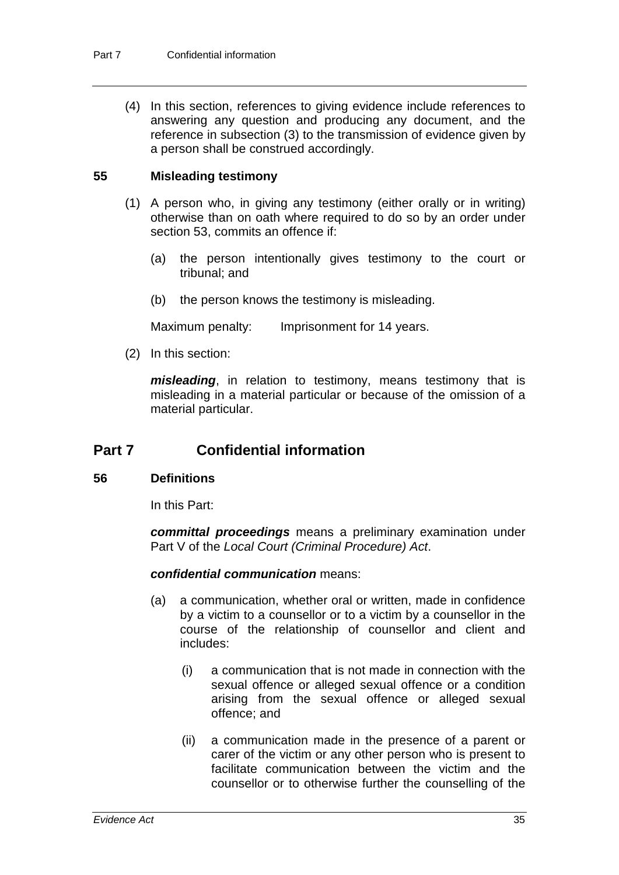(4) In this section, references to giving evidence include references to answering any question and producing any document, and the reference in subsection (3) to the transmission of evidence given by a person shall be construed accordingly.

# **55 Misleading testimony**

- (1) A person who, in giving any testimony (either orally or in writing) otherwise than on oath where required to do so by an order under section 53, commits an offence if:
	- (a) the person intentionally gives testimony to the court or tribunal; and
	- (b) the person knows the testimony is misleading.

Maximum penalty: Imprisonment for 14 years.

(2) In this section:

*misleading*, in relation to testimony, means testimony that is misleading in a material particular or because of the omission of a material particular.

# **Part 7 Confidential information**

#### **56 Definitions**

In this Part:

*committal proceedings* means a preliminary examination under Part V of the *Local Court (Criminal Procedure) Act*.

# *confidential communication* means:

- (a) a communication, whether oral or written, made in confidence by a victim to a counsellor or to a victim by a counsellor in the course of the relationship of counsellor and client and includes:
	- (i) a communication that is not made in connection with the sexual offence or alleged sexual offence or a condition arising from the sexual offence or alleged sexual offence; and
	- (ii) a communication made in the presence of a parent or carer of the victim or any other person who is present to facilitate communication between the victim and the counsellor or to otherwise further the counselling of the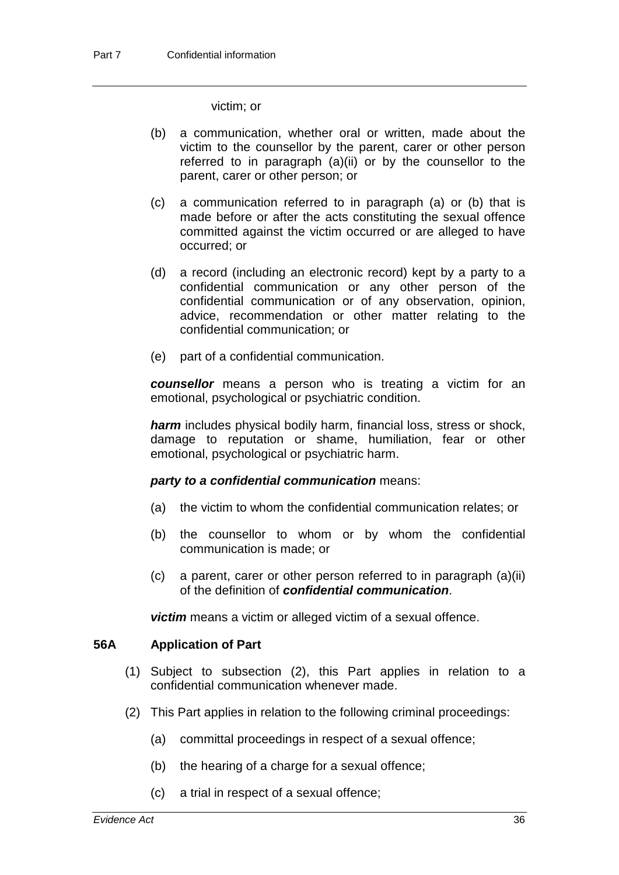victim; or

- (b) a communication, whether oral or written, made about the victim to the counsellor by the parent, carer or other person referred to in paragraph (a)(ii) or by the counsellor to the parent, carer or other person; or
- (c) a communication referred to in paragraph (a) or (b) that is made before or after the acts constituting the sexual offence committed against the victim occurred or are alleged to have occurred; or
- (d) a record (including an electronic record) kept by a party to a confidential communication or any other person of the confidential communication or of any observation, opinion, advice, recommendation or other matter relating to the confidential communication; or
- (e) part of a confidential communication.

*counsellor* means a person who is treating a victim for an emotional, psychological or psychiatric condition.

*harm* includes physical bodily harm, financial loss, stress or shock, damage to reputation or shame, humiliation, fear or other emotional, psychological or psychiatric harm.

#### *party to a confidential communication* means:

- (a) the victim to whom the confidential communication relates; or
- (b) the counsellor to whom or by whom the confidential communication is made; or
- (c) a parent, carer or other person referred to in paragraph (a)(ii) of the definition of *confidential communication*.

*victim* means a victim or alleged victim of a sexual offence.

# **56A Application of Part**

- (1) Subject to subsection (2), this Part applies in relation to a confidential communication whenever made.
- (2) This Part applies in relation to the following criminal proceedings:
	- (a) committal proceedings in respect of a sexual offence;
	- (b) the hearing of a charge for a sexual offence;
	- (c) a trial in respect of a sexual offence;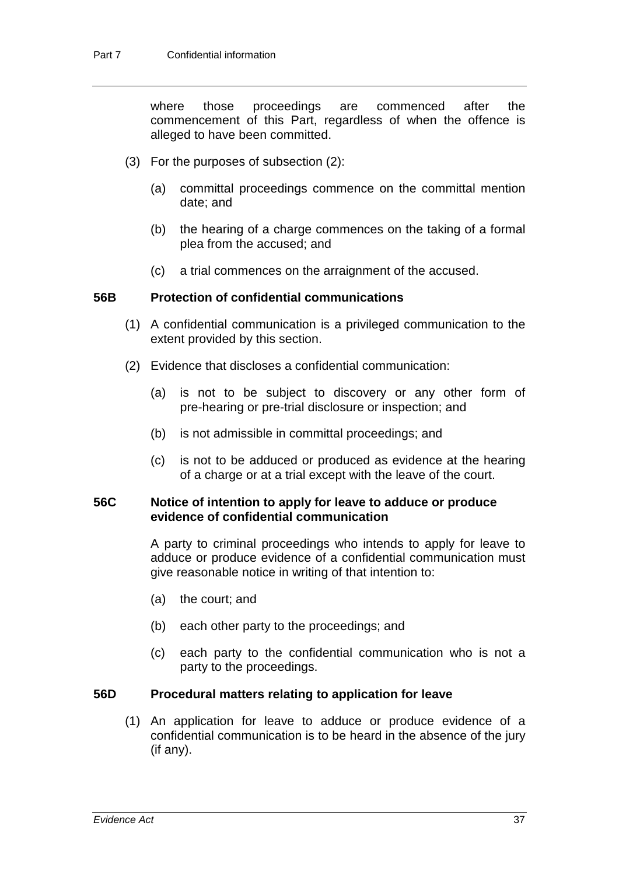where those proceedings are commenced after the commencement of this Part, regardless of when the offence is alleged to have been committed.

- (3) For the purposes of subsection (2):
	- (a) committal proceedings commence on the committal mention date; and
	- (b) the hearing of a charge commences on the taking of a formal plea from the accused; and
	- (c) a trial commences on the arraignment of the accused.

#### **56B Protection of confidential communications**

- (1) A confidential communication is a privileged communication to the extent provided by this section.
- (2) Evidence that discloses a confidential communication:
	- (a) is not to be subject to discovery or any other form of pre-hearing or pre-trial disclosure or inspection; and
	- (b) is not admissible in committal proceedings; and
	- (c) is not to be adduced or produced as evidence at the hearing of a charge or at a trial except with the leave of the court.

#### **56C Notice of intention to apply for leave to adduce or produce evidence of confidential communication**

A party to criminal proceedings who intends to apply for leave to adduce or produce evidence of a confidential communication must give reasonable notice in writing of that intention to:

- (a) the court; and
- (b) each other party to the proceedings; and
- (c) each party to the confidential communication who is not a party to the proceedings.

# **56D Procedural matters relating to application for leave**

(1) An application for leave to adduce or produce evidence of a confidential communication is to be heard in the absence of the jury (if any).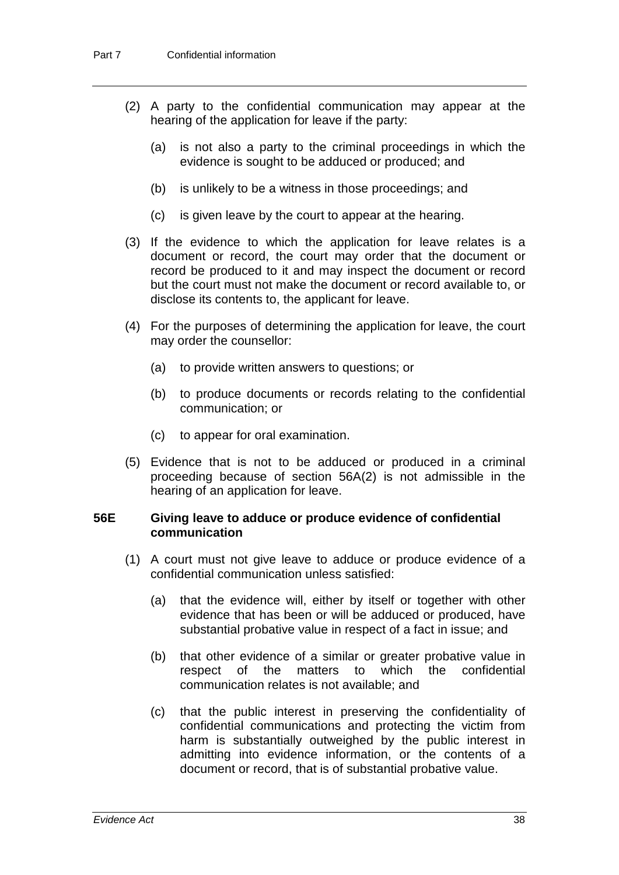- (2) A party to the confidential communication may appear at the hearing of the application for leave if the party:
	- (a) is not also a party to the criminal proceedings in which the evidence is sought to be adduced or produced; and
	- (b) is unlikely to be a witness in those proceedings; and
	- (c) is given leave by the court to appear at the hearing.
- (3) If the evidence to which the application for leave relates is a document or record, the court may order that the document or record be produced to it and may inspect the document or record but the court must not make the document or record available to, or disclose its contents to, the applicant for leave.
- (4) For the purposes of determining the application for leave, the court may order the counsellor:
	- (a) to provide written answers to questions; or
	- (b) to produce documents or records relating to the confidential communication; or
	- (c) to appear for oral examination.
- (5) Evidence that is not to be adduced or produced in a criminal proceeding because of section 56A(2) is not admissible in the hearing of an application for leave.

# **56E Giving leave to adduce or produce evidence of confidential communication**

- (1) A court must not give leave to adduce or produce evidence of a confidential communication unless satisfied:
	- (a) that the evidence will, either by itself or together with other evidence that has been or will be adduced or produced, have substantial probative value in respect of a fact in issue; and
	- (b) that other evidence of a similar or greater probative value in respect of the matters to which the confidential communication relates is not available; and
	- (c) that the public interest in preserving the confidentiality of confidential communications and protecting the victim from harm is substantially outweighed by the public interest in admitting into evidence information, or the contents of a document or record, that is of substantial probative value.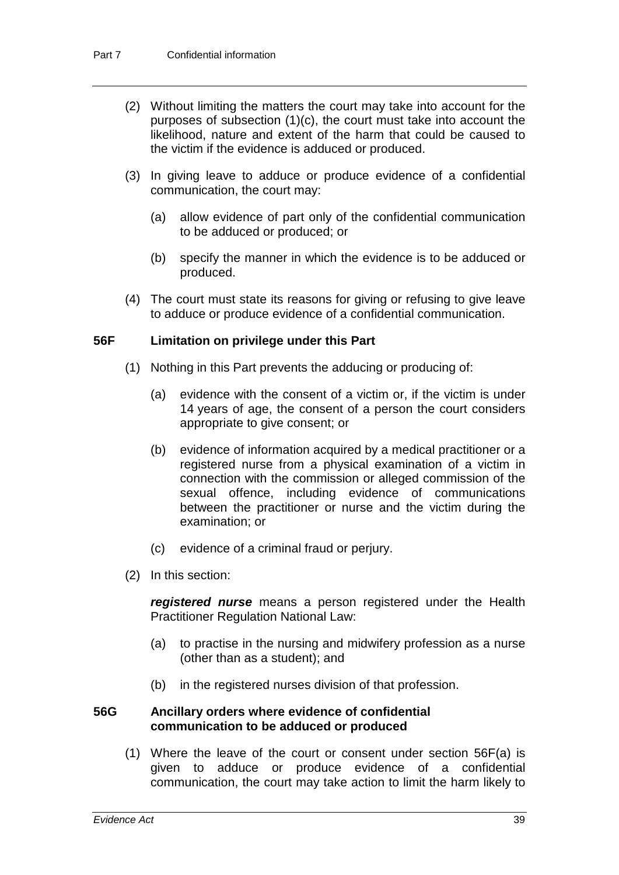- (2) Without limiting the matters the court may take into account for the purposes of subsection (1)(c), the court must take into account the likelihood, nature and extent of the harm that could be caused to the victim if the evidence is adduced or produced.
- (3) In giving leave to adduce or produce evidence of a confidential communication, the court may:
	- (a) allow evidence of part only of the confidential communication to be adduced or produced; or
	- (b) specify the manner in which the evidence is to be adduced or produced.
- (4) The court must state its reasons for giving or refusing to give leave to adduce or produce evidence of a confidential communication.

# **56F Limitation on privilege under this Part**

- (1) Nothing in this Part prevents the adducing or producing of:
	- (a) evidence with the consent of a victim or, if the victim is under 14 years of age, the consent of a person the court considers appropriate to give consent; or
	- (b) evidence of information acquired by a medical practitioner or a registered nurse from a physical examination of a victim in connection with the commission or alleged commission of the sexual offence, including evidence of communications between the practitioner or nurse and the victim during the examination; or
	- (c) evidence of a criminal fraud or perjury.
- (2) In this section:

*registered nurse* means a person registered under the Health Practitioner Regulation National Law:

- (a) to practise in the nursing and midwifery profession as a nurse (other than as a student); and
- (b) in the registered nurses division of that profession.

#### **56G Ancillary orders where evidence of confidential communication to be adduced or produced**

(1) Where the leave of the court or consent under section 56F(a) is given to adduce or produce evidence of a confidential communication, the court may take action to limit the harm likely to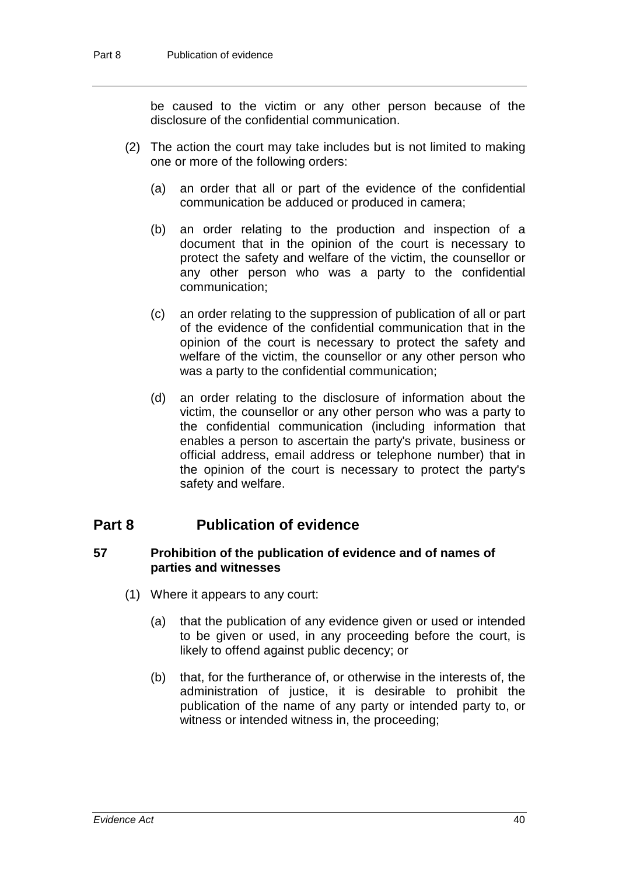be caused to the victim or any other person because of the disclosure of the confidential communication.

- (2) The action the court may take includes but is not limited to making one or more of the following orders:
	- (a) an order that all or part of the evidence of the confidential communication be adduced or produced in camera;
	- (b) an order relating to the production and inspection of a document that in the opinion of the court is necessary to protect the safety and welfare of the victim, the counsellor or any other person who was a party to the confidential communication;
	- (c) an order relating to the suppression of publication of all or part of the evidence of the confidential communication that in the opinion of the court is necessary to protect the safety and welfare of the victim, the counsellor or any other person who was a party to the confidential communication;
	- (d) an order relating to the disclosure of information about the victim, the counsellor or any other person who was a party to the confidential communication (including information that enables a person to ascertain the party's private, business or official address, email address or telephone number) that in the opinion of the court is necessary to protect the party's safety and welfare.

# **Part 8 Publication of evidence**

#### **57 Prohibition of the publication of evidence and of names of parties and witnesses**

- (1) Where it appears to any court:
	- (a) that the publication of any evidence given or used or intended to be given or used, in any proceeding before the court, is likely to offend against public decency; or
	- (b) that, for the furtherance of, or otherwise in the interests of, the administration of justice, it is desirable to prohibit the publication of the name of any party or intended party to, or witness or intended witness in, the proceeding;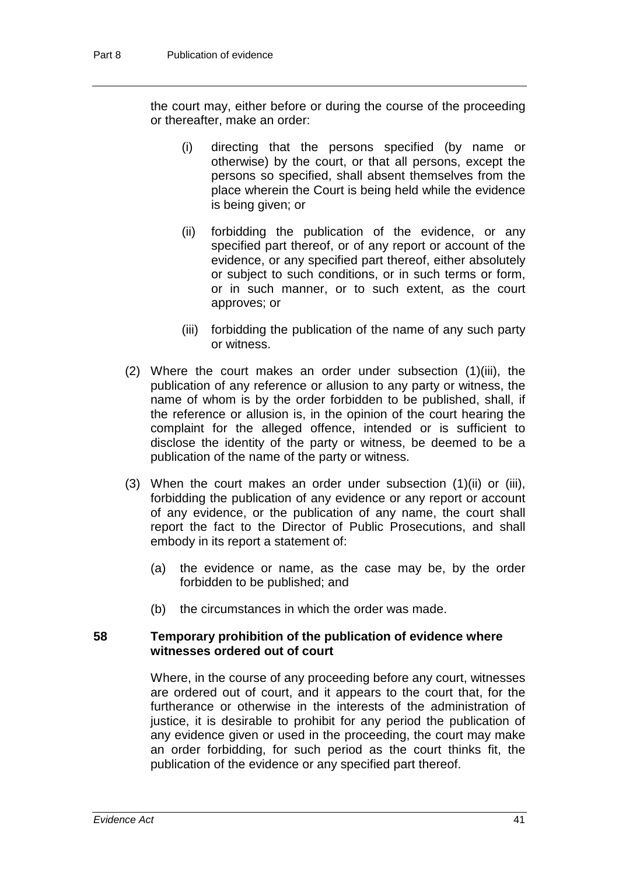the court may, either before or during the course of the proceeding or thereafter, make an order:

- (i) directing that the persons specified (by name or otherwise) by the court, or that all persons, except the persons so specified, shall absent themselves from the place wherein the Court is being held while the evidence is being given; or
- (ii) forbidding the publication of the evidence, or any specified part thereof, or of any report or account of the evidence, or any specified part thereof, either absolutely or subject to such conditions, or in such terms or form, or in such manner, or to such extent, as the court approves; or
- (iii) forbidding the publication of the name of any such party or witness.
- (2) Where the court makes an order under subsection (1)(iii), the publication of any reference or allusion to any party or witness, the name of whom is by the order forbidden to be published, shall, if the reference or allusion is, in the opinion of the court hearing the complaint for the alleged offence, intended or is sufficient to disclose the identity of the party or witness, be deemed to be a publication of the name of the party or witness.
- (3) When the court makes an order under subsection (1)(ii) or (iii), forbidding the publication of any evidence or any report or account of any evidence, or the publication of any name, the court shall report the fact to the Director of Public Prosecutions, and shall embody in its report a statement of:
	- (a) the evidence or name, as the case may be, by the order forbidden to be published; and
	- (b) the circumstances in which the order was made.

#### **58 Temporary prohibition of the publication of evidence where witnesses ordered out of court**

Where, in the course of any proceeding before any court, witnesses are ordered out of court, and it appears to the court that, for the furtherance or otherwise in the interests of the administration of justice, it is desirable to prohibit for any period the publication of any evidence given or used in the proceeding, the court may make an order forbidding, for such period as the court thinks fit, the publication of the evidence or any specified part thereof.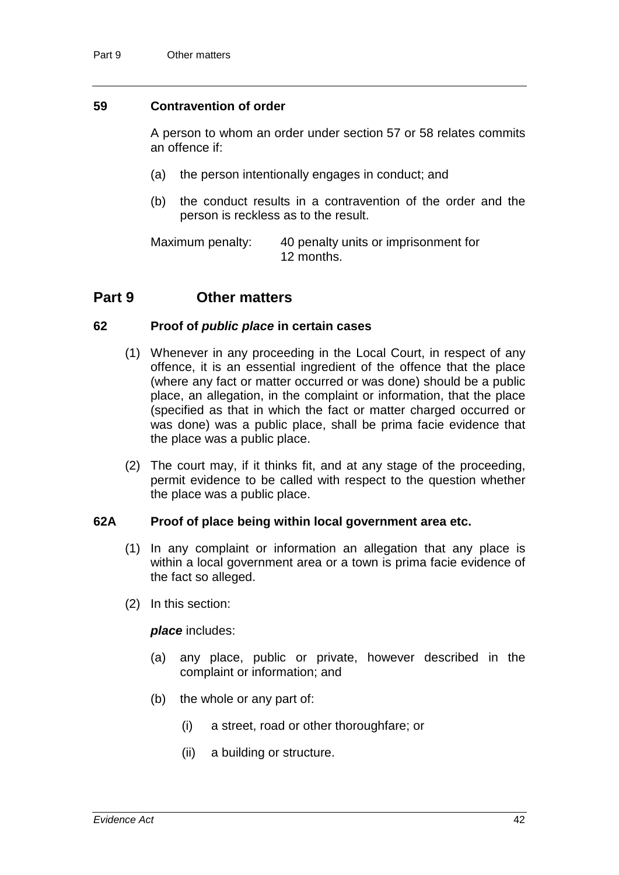#### **59 Contravention of order**

A person to whom an order under section 57 or 58 relates commits an offence if:

- (a) the person intentionally engages in conduct; and
- (b) the conduct results in a contravention of the order and the person is reckless as to the result.

Maximum penalty: 40 penalty units or imprisonment for 12 months.

# **Part 9 Other matters**

#### **62 Proof of** *public place* **in certain cases**

- (1) Whenever in any proceeding in the Local Court, in respect of any offence, it is an essential ingredient of the offence that the place (where any fact or matter occurred or was done) should be a public place, an allegation, in the complaint or information, that the place (specified as that in which the fact or matter charged occurred or was done) was a public place, shall be prima facie evidence that the place was a public place.
- (2) The court may, if it thinks fit, and at any stage of the proceeding, permit evidence to be called with respect to the question whether the place was a public place.

#### **62A Proof of place being within local government area etc.**

- (1) In any complaint or information an allegation that any place is within a local government area or a town is prima facie evidence of the fact so alleged.
- (2) In this section:

*place* includes:

- (a) any place, public or private, however described in the complaint or information; and
- (b) the whole or any part of:
	- (i) a street, road or other thoroughfare; or
	- (ii) a building or structure.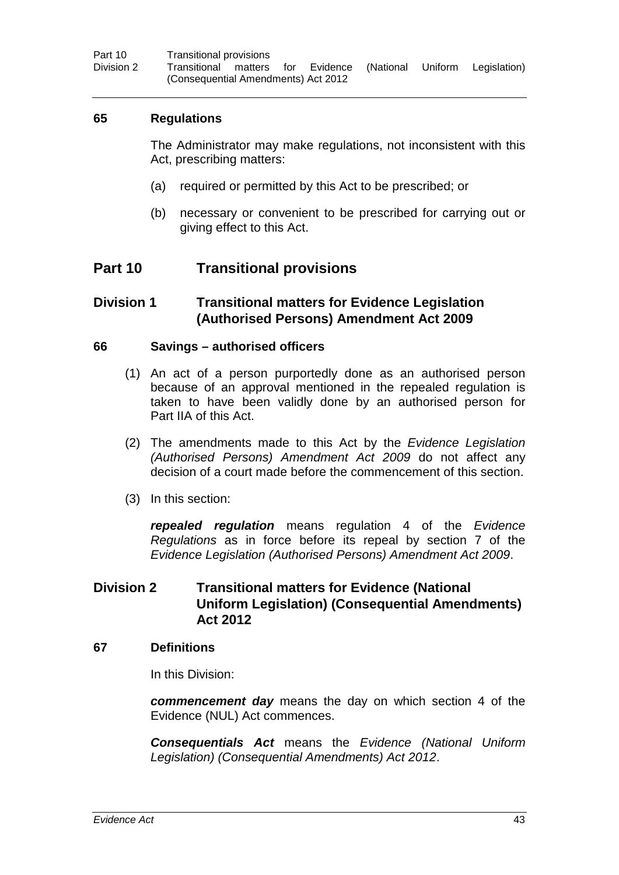# **65 Regulations**

The Administrator may make regulations, not inconsistent with this Act, prescribing matters:

- (a) required or permitted by this Act to be prescribed; or
- (b) necessary or convenient to be prescribed for carrying out or giving effect to this Act.

# **Part 10 Transitional provisions**

# **Division 1 Transitional matters for Evidence Legislation (Authorised Persons) Amendment Act 2009**

# **66 Savings – authorised officers**

- (1) An act of a person purportedly done as an authorised person because of an approval mentioned in the repealed regulation is taken to have been validly done by an authorised person for Part IIA of this Act.
- (2) The amendments made to this Act by the *Evidence Legislation (Authorised Persons) Amendment Act 2009* do not affect any decision of a court made before the commencement of this section.
- (3) In this section:

*repealed regulation* means regulation 4 of the *Evidence Regulations* as in force before its repeal by section 7 of the *Evidence Legislation (Authorised Persons) Amendment Act 2009*.

# **Division 2 Transitional matters for Evidence (National Uniform Legislation) (Consequential Amendments) Act 2012**

#### **67 Definitions**

In this Division:

*commencement day* means the day on which section 4 of the Evidence (NUL) Act commences.

*Consequentials Act* means the *Evidence (National Uniform Legislation) (Consequential Amendments) Act 2012*.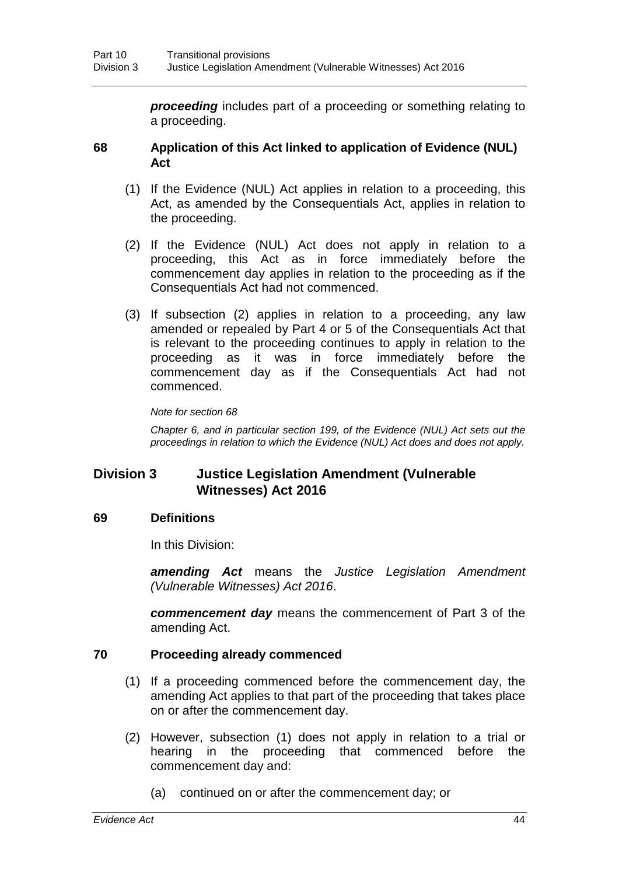*proceeding* includes part of a proceeding or something relating to a proceeding.

#### **68 Application of this Act linked to application of Evidence (NUL) Act**

- (1) If the Evidence (NUL) Act applies in relation to a proceeding, this Act, as amended by the Consequentials Act, applies in relation to the proceeding.
- (2) If the Evidence (NUL) Act does not apply in relation to a proceeding, this Act as in force immediately before the commencement day applies in relation to the proceeding as if the Consequentials Act had not commenced.
- (3) If subsection (2) applies in relation to a proceeding, any law amended or repealed by Part 4 or 5 of the Consequentials Act that is relevant to the proceeding continues to apply in relation to the proceeding as it was in force immediately before the commencement day as if the Consequentials Act had not commenced.

#### *Note for section 68*

*Chapter 6, and in particular section 199, of the Evidence (NUL) Act sets out the proceedings in relation to which the Evidence (NUL) Act does and does not apply.*

# **Division 3 Justice Legislation Amendment (Vulnerable Witnesses) Act 2016**

# **69 Definitions**

In this Division:

*amending Act* means the *Justice Legislation Amendment (Vulnerable Witnesses) Act 2016*.

*commencement day* means the commencement of Part 3 of the amending Act.

# **70 Proceeding already commenced**

- (1) If a proceeding commenced before the commencement day, the amending Act applies to that part of the proceeding that takes place on or after the commencement day.
- (2) However, subsection (1) does not apply in relation to a trial or hearing in the proceeding that commenced before the commencement day and:
	- (a) continued on or after the commencement day; or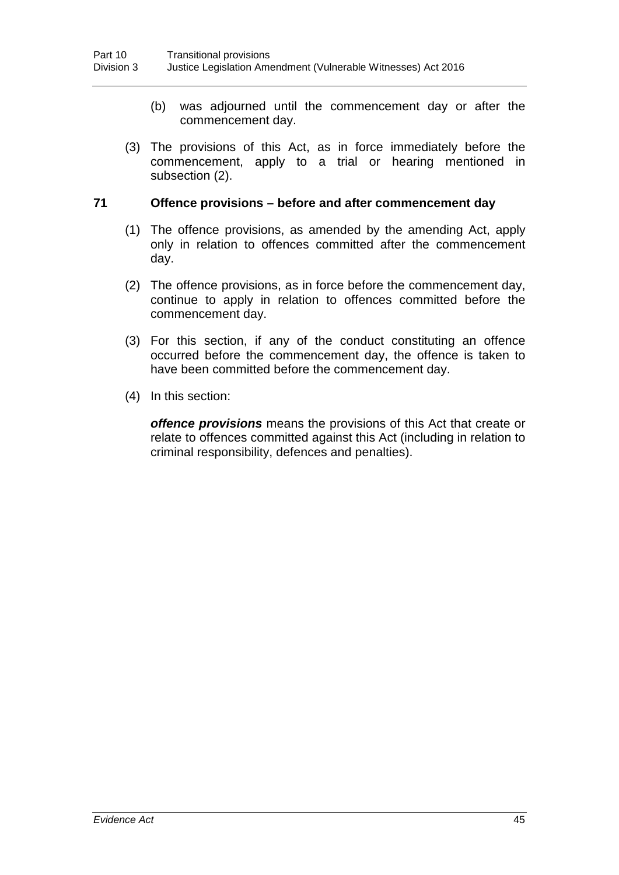- (b) was adjourned until the commencement day or after the commencement day.
- (3) The provisions of this Act, as in force immediately before the commencement, apply to a trial or hearing mentioned in subsection (2).

# **71 Offence provisions – before and after commencement day**

- (1) The offence provisions, as amended by the amending Act, apply only in relation to offences committed after the commencement day.
- (2) The offence provisions, as in force before the commencement day, continue to apply in relation to offences committed before the commencement day.
- (3) For this section, if any of the conduct constituting an offence occurred before the commencement day, the offence is taken to have been committed before the commencement day.
- (4) In this section:

*offence provisions* means the provisions of this Act that create or relate to offences committed against this Act (including in relation to criminal responsibility, defences and penalties).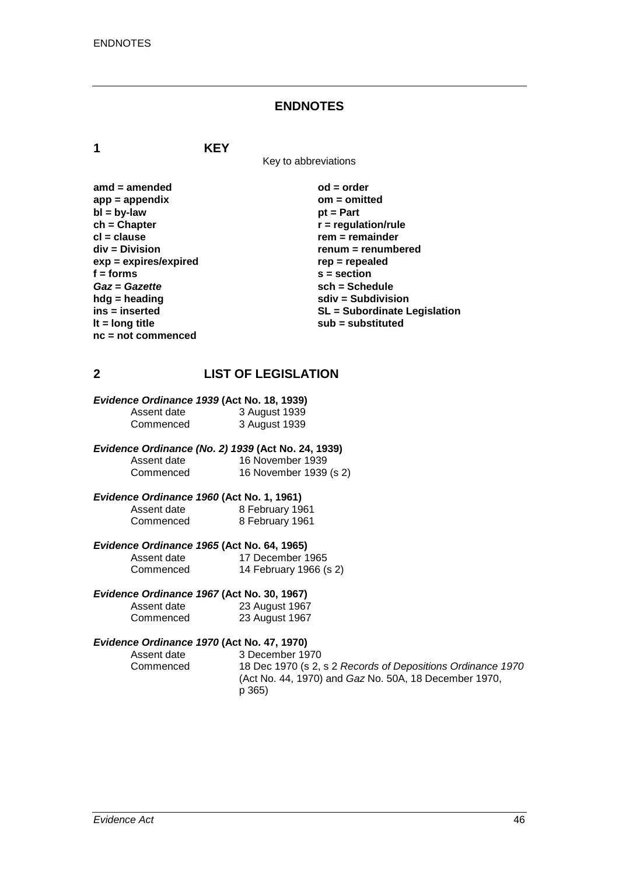#### **ENDNOTES**

**1 KEY**

Key to abbreviations

amd = amended od = order<br>
app = appendix **butch** on = omitted app = appendix<br>bl = bv-law biteday = 0 minutes = 0 minutes<br>bl = bv-law = 0 minutes **bl = by-law**<br>**ch = Chapter ch = Chapter r** = regulation/rule<br> **cl** = clause **rate regulation r** = remainder **cl = clause rem = remainder**  $exp = exp$ **ires/expired**<br>**f** = forms **f = forms s = section** *Gaz* = *Gazette* **sch** = Schedule<br>
hdg = heading **sch** = Subdivis **hdg = heading**<br>
ins = inserted<br> **sdiv = Subdivision**<br>
SL = Subordinate L **nc = not commenced**

**renum = renumbered**<br>rep = repealed ins = inserted<br> **ins = inserted**<br> **if = long title**<br> **if = long title**<br> **if = long title**<br> **if = long title lt = long title sub = substituted**

# **2 LIST OF LEGISLATION**

# *Evidence Ordinance 1939* **(Act No. 18, 1939)**

| Assent date | 3 August 1939 |
|-------------|---------------|
| Commenced   | 3 August 1939 |

*Evidence Ordinance (No. 2) 1939* **(Act No. 24, 1939)** Assent date 16 November 1939<br>Commenced 16 November 1939 16 November 1939 (s 2)

#### *Evidence Ordinance 1960* **(Act No. 1, 1961)** Assent date 8 February 1961<br>Commenced 8 February 1961 8 February 1961

#### *Evidence Ordinance 1965* **(Act No. 64, 1965)** Assent date 17 December 1965<br>Commenced 14 February 1966 (s 14 February 1966 (s 2)

# *Evidence Ordinance 1967* **(Act No. 30, 1967)**

| Assent date | 23 August 1967 |
|-------------|----------------|
| Commenced   | 23 August 1967 |

# *Evidence Ordinance 1970* **(Act No. 47, 1970)**

Assent date 3 December 1970<br>Commenced 18 Dec 1970 (s 2. 18 Dec 1970 (s 2, s 2 *Records of Depositions Ordinance 1970* (Act No. 44, 1970) and *Gaz* No. 50A, 18 December 1970, p 365)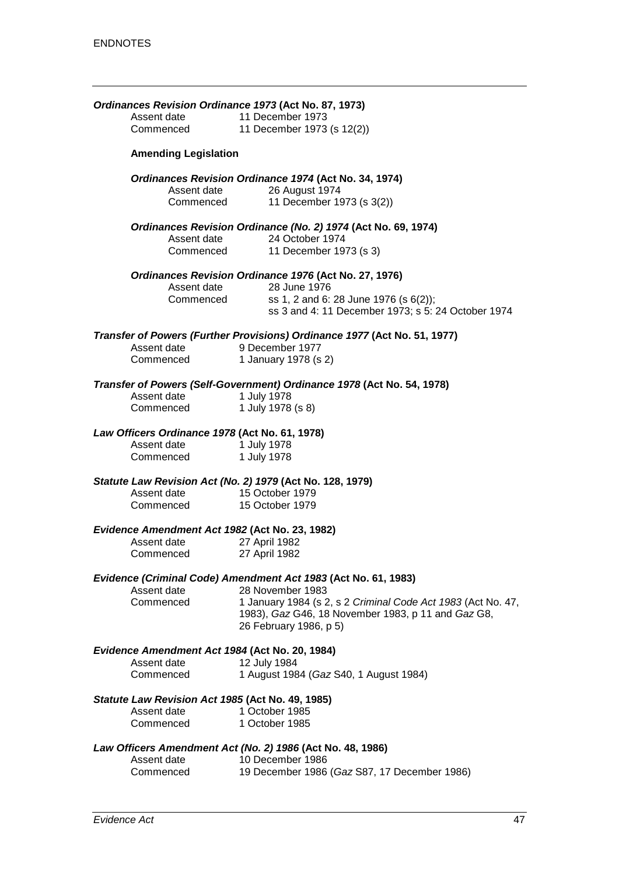|                                                | Assent date                                      | Ordinances Revision Ordinance 1973 (Act No. 87, 1973)<br>11 December 1973                   |
|------------------------------------------------|--------------------------------------------------|---------------------------------------------------------------------------------------------|
|                                                | Commenced                                        | 11 December 1973 (s 12(2))                                                                  |
|                                                | <b>Amending Legislation</b>                      |                                                                                             |
|                                                | Assent date                                      | Ordinances Revision Ordinance 1974 (Act No. 34, 1974)<br>26 August 1974                     |
|                                                | Commenced                                        | 11 December 1973 (s 3(2))                                                                   |
|                                                |                                                  | Ordinances Revision Ordinance (No. 2) 1974 (Act No. 69, 1974)                               |
|                                                | Assent date<br>Commenced                         | 24 October 1974<br>11 December 1973 (s 3)                                                   |
|                                                |                                                  | Ordinances Revision Ordinance 1976 (Act No. 27, 1976)                                       |
|                                                | Assent date                                      | 28 June 1976                                                                                |
|                                                | Commenced                                        | ss 1, 2 and 6: 28 June 1976 (s 6(2));<br>ss 3 and 4: 11 December 1973; s 5: 24 October 1974 |
|                                                |                                                  | Transfer of Powers (Further Provisions) Ordinance 1977 (Act No. 51, 1977)                   |
|                                                | Assent date<br>Commenced                         | 9 December 1977<br>1 January 1978 (s 2)                                                     |
|                                                |                                                  | Transfer of Powers (Self-Government) Ordinance 1978 (Act No. 54, 1978)                      |
|                                                | Assent date                                      | 1 July 1978                                                                                 |
|                                                | Commenced                                        | 1 July 1978 (s 8)                                                                           |
|                                                | Law Officers Ordinance 1978 (Act No. 61, 1978)   |                                                                                             |
|                                                | Assent date<br>Commenced                         | 1 July 1978<br>1 July 1978                                                                  |
|                                                |                                                  | Statute Law Revision Act (No. 2) 1979 (Act No. 128, 1979)                                   |
|                                                | Assent date                                      | 15 October 1979                                                                             |
|                                                | Commenced                                        | 15 October 1979                                                                             |
|                                                | Evidence Amendment Act 1982 (Act No. 23, 1982)   |                                                                                             |
|                                                | Assent date<br>Commenced                         | 27 April 1982<br>27 April 1982                                                              |
|                                                |                                                  |                                                                                             |
|                                                |                                                  | Evidence (Criminal Code) Amendment Act 1983 (Act No. 61, 1983)                              |
|                                                | Assent date                                      | 28 November 1983                                                                            |
|                                                | Commenced                                        | 1 January 1984 (s 2, s 2 Criminal Code Act 1983 (Act No. 47,                                |
|                                                |                                                  | 1983), Gaz G46, 18 November 1983, p 11 and Gaz G8,<br>26 February 1986, p 5)                |
| Evidence Amendment Act 1984 (Act No. 20, 1984) |                                                  |                                                                                             |
|                                                | Assent date                                      | 12 July 1984                                                                                |
|                                                | Commenced                                        | 1 August 1984 (Gaz S40, 1 August 1984)                                                      |
|                                                | Statute Law Revision Act 1985 (Act No. 49, 1985) |                                                                                             |
|                                                | Assent date<br>Commenced                         | 1 October 1985<br>1 October 1985                                                            |
|                                                |                                                  |                                                                                             |
|                                                | Assent date                                      | Law Officers Amendment Act (No. 2) 1986 (Act No. 48, 1986)<br>10 December 1986              |
|                                                | Commenced                                        | 19 December 1986 (Gaz S87, 17 December 1986)                                                |
|                                                |                                                  |                                                                                             |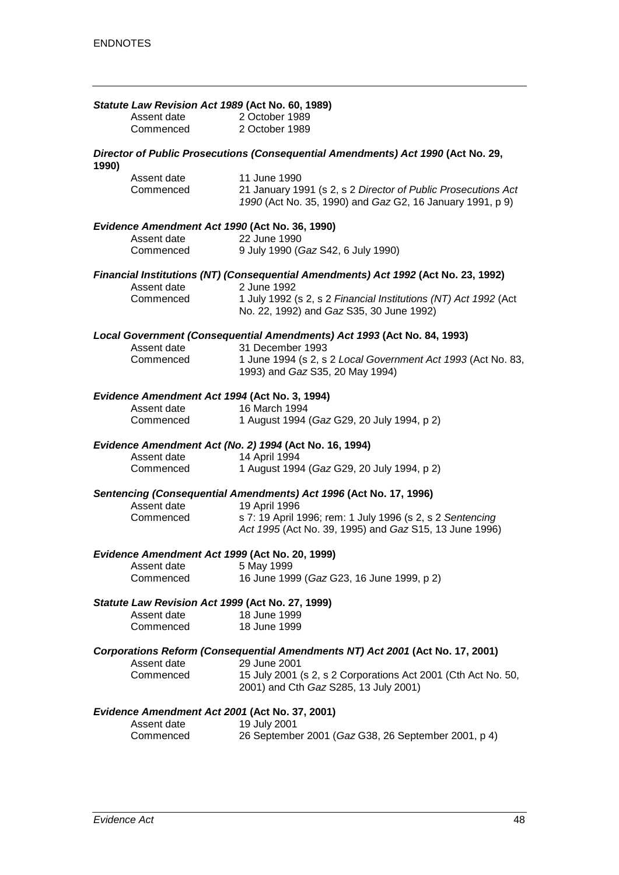|       | Statute Law Revision Act 1989 (Act No. 60, 1989) |                                                                                                                            |
|-------|--------------------------------------------------|----------------------------------------------------------------------------------------------------------------------------|
|       | Assent date                                      | 2 October 1989                                                                                                             |
|       | Commenced                                        | 2 October 1989                                                                                                             |
|       |                                                  |                                                                                                                            |
| 1990) |                                                  | Director of Public Prosecutions (Consequential Amendments) Act 1990 (Act No. 29,                                           |
|       | Assent date                                      | 11 June 1990                                                                                                               |
|       | Commenced                                        | 21 January 1991 (s 2, s 2 Director of Public Prosecutions Act<br>1990 (Act No. 35, 1990) and Gaz G2, 16 January 1991, p 9) |
|       | Evidence Amendment Act 1990 (Act No. 36, 1990)   |                                                                                                                            |
|       | Assent date                                      | 22 June 1990                                                                                                               |
|       | Commenced                                        | 9 July 1990 (Gaz S42, 6 July 1990)                                                                                         |
|       | Assent date                                      | Financial Institutions (NT) (Consequential Amendments) Act 1992 (Act No. 23, 1992)<br>2 June 1992                          |
|       | Commenced                                        | 1 July 1992 (s 2, s 2 Financial Institutions (NT) Act 1992 (Act                                                            |
|       |                                                  | No. 22, 1992) and Gaz S35, 30 June 1992)                                                                                   |
|       |                                                  | Local Government (Consequential Amendments) Act 1993 (Act No. 84, 1993)                                                    |
|       | Assent date                                      | 31 December 1993                                                                                                           |
|       | Commenced                                        | 1 June 1994 (s 2, s 2 Local Government Act 1993 (Act No. 83,<br>1993) and Gaz S35, 20 May 1994)                            |
|       | Evidence Amendment Act 1994 (Act No. 3, 1994)    |                                                                                                                            |
|       | Assent date                                      | 16 March 1994                                                                                                              |
|       | Commenced                                        | 1 August 1994 (Gaz G29, 20 July 1994, p 2)                                                                                 |
|       |                                                  | Evidence Amendment Act (No. 2) 1994 (Act No. 16, 1994)                                                                     |
|       | Assent date                                      | 14 April 1994                                                                                                              |
|       | Commenced                                        | 1 August 1994 (Gaz G29, 20 July 1994, p 2)                                                                                 |
|       | Assent date                                      | Sentencing (Consequential Amendments) Act 1996 (Act No. 17, 1996)                                                          |
|       |                                                  | 19 April 1996                                                                                                              |
|       | Commenced                                        | s 7: 19 April 1996; rem: 1 July 1996 (s 2, s 2 Sentencing<br>Act 1995 (Act No. 39, 1995) and Gaz S15, 13 June 1996)        |
|       | Evidence Amendment Act 1999 (Act No. 20, 1999)   |                                                                                                                            |
|       | Assent date 5 May 1999                           |                                                                                                                            |
|       | Commenced                                        | 16 June 1999 (Gaz G23, 16 June 1999, p 2)                                                                                  |
|       | Statute Law Revision Act 1999 (Act No. 27, 1999) |                                                                                                                            |
|       | Assent date                                      | 18 June 1999                                                                                                               |
|       | Commenced                                        | 18 June 1999                                                                                                               |
|       | Assent date                                      | Corporations Reform (Consequential Amendments NT) Act 2001 (Act No. 17, 2001)<br>29 June 2001                              |
|       | Commenced                                        | 15 July 2001 (s 2, s 2 Corporations Act 2001 (Cth Act No. 50,                                                              |
|       |                                                  | 2001) and Cth Gaz S285, 13 July 2001)                                                                                      |
|       | Evidence Amendment Act 2001 (Act No. 37, 2001)   |                                                                                                                            |
|       | Assent date                                      | 19 July 2001                                                                                                               |
|       | Commenced                                        | 26 September 2001 (Gaz G38, 26 September 2001, p 4)                                                                        |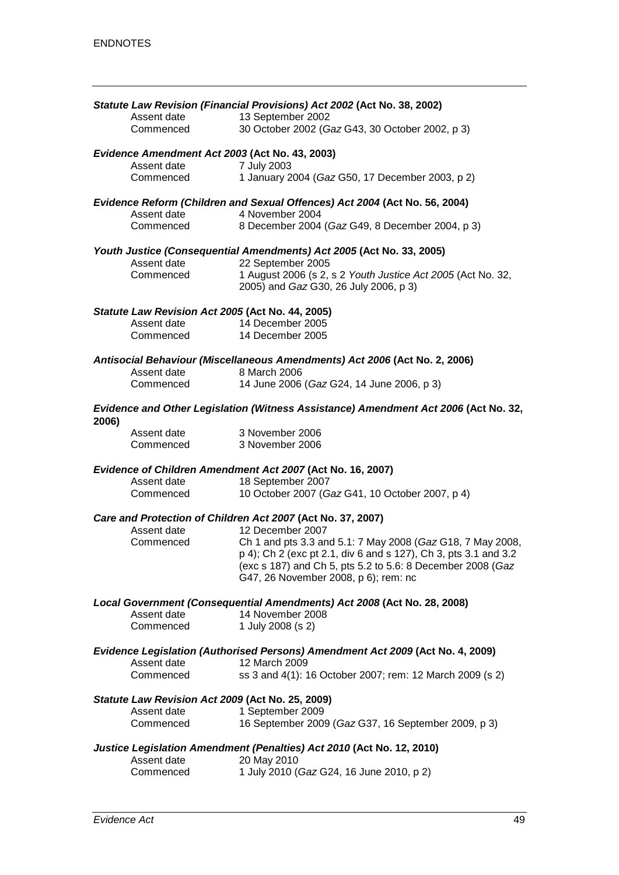|             | Statute Law Revision (Financial Provisions) Act 2002 (Act No. 38, 2002)                                                                                                                                                             |
|-------------|-------------------------------------------------------------------------------------------------------------------------------------------------------------------------------------------------------------------------------------|
| Assent date | 13 September 2002                                                                                                                                                                                                                   |
| Commenced   | 30 October 2002 (Gaz G43, 30 October 2002, p 3)                                                                                                                                                                                     |
|             | Evidence Amendment Act 2003 (Act No. 43, 2003)                                                                                                                                                                                      |
| Assent date | 7 July 2003                                                                                                                                                                                                                         |
| Commenced   | 1 January 2004 (Gaz G50, 17 December 2003, p 2)                                                                                                                                                                                     |
| Assent date | Evidence Reform (Children and Sexual Offences) Act 2004 (Act No. 56, 2004)<br>4 November 2004                                                                                                                                       |
| Commenced   | 8 December 2004 (Gaz G49, 8 December 2004, p 3)                                                                                                                                                                                     |
|             | Youth Justice (Consequential Amendments) Act 2005 (Act No. 33, 2005)                                                                                                                                                                |
| Assent date | 22 September 2005                                                                                                                                                                                                                   |
| Commenced   | 1 August 2006 (s 2, s 2 Youth Justice Act 2005 (Act No. 32,<br>2005) and Gaz G30, 26 July 2006, p 3)                                                                                                                                |
|             | Statute Law Revision Act 2005 (Act No. 44, 2005)                                                                                                                                                                                    |
| Assent date | 14 December 2005                                                                                                                                                                                                                    |
| Commenced   | 14 December 2005                                                                                                                                                                                                                    |
|             | Antisocial Behaviour (Miscellaneous Amendments) Act 2006 (Act No. 2, 2006)                                                                                                                                                          |
| Assent date | 8 March 2006                                                                                                                                                                                                                        |
| Commenced   | 14 June 2006 (Gaz G24, 14 June 2006, p 3)                                                                                                                                                                                           |
| 2006)       | Evidence and Other Legislation (Witness Assistance) Amendment Act 2006 (Act No. 32,                                                                                                                                                 |
| Assent date | 3 November 2006                                                                                                                                                                                                                     |
| Commenced   | 3 November 2006                                                                                                                                                                                                                     |
| Assent date | Evidence of Children Amendment Act 2007 (Act No. 16, 2007)<br>18 September 2007                                                                                                                                                     |
| Commenced   | 10 October 2007 (Gaz G41, 10 October 2007, p 4)                                                                                                                                                                                     |
|             | Care and Protection of Children Act 2007 (Act No. 37, 2007)                                                                                                                                                                         |
| Assent date | 12 December 2007                                                                                                                                                                                                                    |
| Commenced   | Ch 1 and pts 3.3 and 5.1: 7 May 2008 (Gaz G18, 7 May 2008,<br>p 4); Ch 2 (exc pt 2.1, div 6 and s 127), Ch 3, pts 3.1 and 3.2<br>(exc s 187) and Ch 5, pts 5.2 to 5.6: 8 December 2008 (Gaz<br>G47, 26 November 2008, p 6); rem: nc |
|             | Local Government (Consequential Amendments) Act 2008 (Act No. 28, 2008)                                                                                                                                                             |
| Assent date | 14 November 2008                                                                                                                                                                                                                    |
| Commenced   | 1 July 2008 (s 2)                                                                                                                                                                                                                   |
|             | Evidence Legislation (Authorised Persons) Amendment Act 2009 (Act No. 4, 2009)                                                                                                                                                      |
| Assent date | 12 March 2009                                                                                                                                                                                                                       |
| Commenced   | ss 3 and 4(1): 16 October 2007; rem: 12 March 2009 (s 2)                                                                                                                                                                            |
|             | Statute Law Revision Act 2009 (Act No. 25, 2009)                                                                                                                                                                                    |
| Assent date | 1 September 2009                                                                                                                                                                                                                    |
| Commenced   | 16 September 2009 (Gaz G37, 16 September 2009, p 3)                                                                                                                                                                                 |
|             | Justice Legislation Amendment (Penalties) Act 2010 (Act No. 12, 2010)                                                                                                                                                               |
| Assent date | 20 May 2010                                                                                                                                                                                                                         |
| Commenced   | 1 July 2010 (Gaz G24, 16 June 2010, p 2)                                                                                                                                                                                            |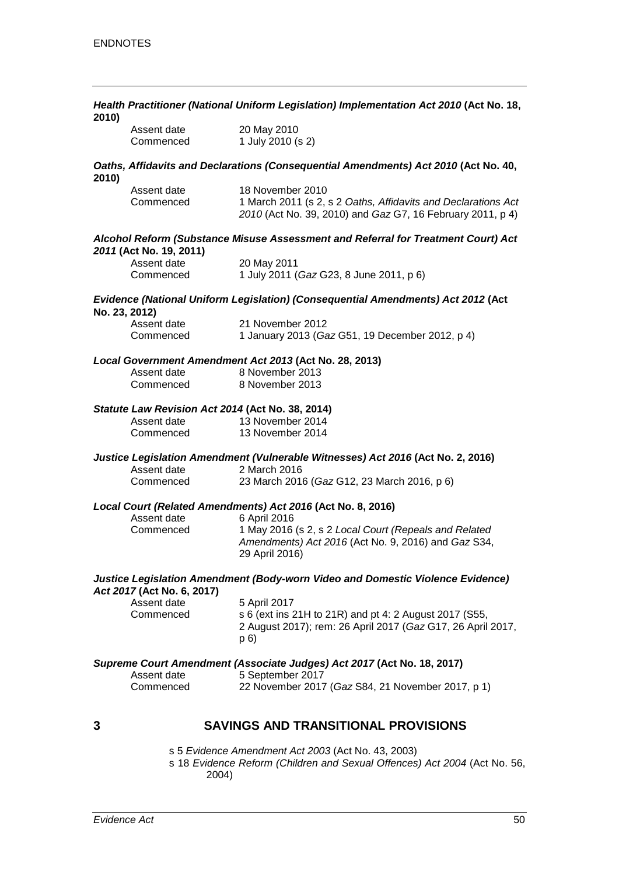| 2010)         | Health Practitioner (National Uniform Legislation) Implementation Act 2010 (Act No. 18, |                                                                                                                                                 |  |
|---------------|-----------------------------------------------------------------------------------------|-------------------------------------------------------------------------------------------------------------------------------------------------|--|
|               | Assent date<br>Commenced                                                                | 20 May 2010<br>1 July 2010 (s 2)                                                                                                                |  |
| 2010)         |                                                                                         | Oaths, Affidavits and Declarations (Consequential Amendments) Act 2010 (Act No. 40,                                                             |  |
|               | Assent date<br>Commenced                                                                | 18 November 2010<br>1 March 2011 (s 2, s 2 Oaths, Affidavits and Declarations Act<br>2010 (Act No. 39, 2010) and Gaz G7, 16 February 2011, p 4) |  |
|               | 2011 (Act No. 19, 2011)                                                                 | Alcohol Reform (Substance Misuse Assessment and Referral for Treatment Court) Act                                                               |  |
|               | Assent date<br>Commenced                                                                | 20 May 2011<br>1 July 2011 (Gaz G23, 8 June 2011, p 6)                                                                                          |  |
| No. 23, 2012) |                                                                                         | Evidence (National Uniform Legislation) (Consequential Amendments) Act 2012 (Act                                                                |  |
|               | Assent date<br>Commenced                                                                | 21 November 2012<br>1 January 2013 (Gaz G51, 19 December 2012, p 4)                                                                             |  |
|               |                                                                                         | Local Government Amendment Act 2013 (Act No. 28, 2013)                                                                                          |  |
|               | Assent date<br>Commenced                                                                | 8 November 2013<br>8 November 2013                                                                                                              |  |
|               |                                                                                         | Statute Law Revision Act 2014 (Act No. 38, 2014)                                                                                                |  |
|               | Assent date<br>Commenced                                                                | 13 November 2014<br>13 November 2014                                                                                                            |  |
|               |                                                                                         | Justice Legislation Amendment (Vulnerable Witnesses) Act 2016 (Act No. 2, 2016)                                                                 |  |
|               | Assent date<br>Commenced                                                                | 2 March 2016<br>23 March 2016 (Gaz G12, 23 March 2016, p 6)                                                                                     |  |
|               |                                                                                         | Local Court (Related Amendments) Act 2016 (Act No. 8, 2016)                                                                                     |  |
|               | Assent date<br>Commenced                                                                | 6 April 2016<br>1 May 2016 (s 2, s 2 Local Court (Repeals and Related<br>Amendments) Act 2016 (Act No. 9, 2016) and Gaz S34,<br>29 April 2016)  |  |
|               | Act 2017 (Act No. 6, 2017)                                                              | Justice Legislation Amendment (Body-worn Video and Domestic Violence Evidence)                                                                  |  |
|               | Assent date<br>Commenced                                                                | 5 April 2017<br>s 6 (ext ins 21H to 21R) and pt 4: 2 August 2017 (S55,<br>2 August 2017); rem: 26 April 2017 (Gaz G17, 26 April 2017,<br>p(6)   |  |
|               |                                                                                         | Supreme Court Amendment (Associate Judges) Act 2017 (Act No. 18, 2017)                                                                          |  |
|               | Assent date<br>Commenced                                                                | 5 September 2017<br>22 November 2017 (Gaz S84, 21 November 2017, p 1)                                                                           |  |
| 3             |                                                                                         | <b>SAVINGS AND TRANSITIONAL PROVISIONS</b>                                                                                                      |  |

s 5 *Evidence Amendment Act 2003* (Act No. 43, 2003)

s 18 *Evidence Reform (Children and Sexual Offences) Act 2004* (Act No. 56, 2004)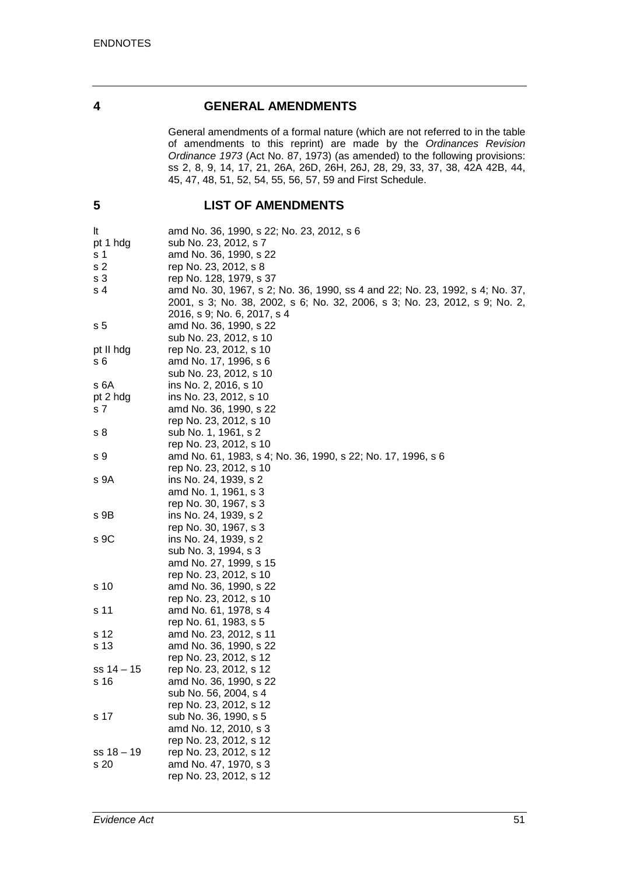#### **4 GENERAL AMENDMENTS**

General amendments of a formal nature (which are not referred to in the table of amendments to this reprint) are made by the *Ordinances Revision Ordinance 1973* (Act No. 87, 1973) (as amended) to the following provisions: ss 2, 8, 9, 14, 17, 21, 26A, 26D, 26H, 26J, 28, 29, 33, 37, 38, 42A 42B, 44, 45, 47, 48, 51, 52, 54, 55, 56, 57, 59 and First Schedule.

# **5 LIST OF AMENDMENTS**

| It             | amd No. 36, 1990, s 22; No. 23, 2012, s 6                                    |
|----------------|------------------------------------------------------------------------------|
| pt 1 hdg       | sub No. 23, 2012, s 7                                                        |
| s 1            | amd No. 36, 1990, s 22                                                       |
| s <sub>2</sub> | rep No. 23, 2012, s 8                                                        |
| s <sub>3</sub> | rep No. 128, 1979, s 37                                                      |
| s 4            | amd No. 30, 1967, s 2; No. 36, 1990, ss 4 and 22; No. 23, 1992, s 4; No. 37, |
|                | 2001, s 3; No. 38, 2002, s 6; No. 32, 2006, s 3; No. 23, 2012, s 9; No. 2,   |
|                | 2016, s 9; No. 6, 2017, s 4                                                  |
| s <sub>5</sub> | amd No. 36, 1990, s 22                                                       |
|                | sub No. 23, 2012, s 10                                                       |
| pt II hdg      | rep No. 23, 2012, s 10                                                       |
| s 6            | amd No. 17, 1996, s 6                                                        |
|                | sub No. 23, 2012, s 10                                                       |
| s 6A           | ins No. 2, 2016, s 10                                                        |
| pt 2 hdg       | ins No. 23, 2012, s 10                                                       |
| s 7            | amd No. 36, 1990, s 22                                                       |
|                | rep No. 23, 2012, s 10                                                       |
| s 8            | sub No. 1, 1961, s 2                                                         |
|                | rep No. 23, 2012, s 10                                                       |
| s 9            | amd No. 61, 1983, s 4; No. 36, 1990, s 22; No. 17, 1996, s 6                 |
|                | rep No. 23, 2012, s 10                                                       |
| s 9A           | ins No. 24, 1939, s 2                                                        |
|                | amd No. 1, 1961, s 3                                                         |
|                | rep No. 30, 1967, s 3                                                        |
| s 9B           | ins No. 24, 1939, s 2                                                        |
|                | rep No. 30, 1967, s 3                                                        |
| s 9C           | ins No. 24, 1939, s 2                                                        |
|                | sub No. 3, 1994, s 3                                                         |
|                | amd No. 27, 1999, s 15                                                       |
|                | rep No. 23, 2012, s 10                                                       |
| s 10           | amd No. 36, 1990, s 22                                                       |
|                | rep No. 23, 2012, s 10                                                       |
| s 11           | amd No. 61, 1978, s 4                                                        |
|                | rep No. 61, 1983, s 5                                                        |
| s 12           | amd No. 23, 2012, s 11                                                       |
| s 13           | amd No. 36, 1990, s 22                                                       |
|                | rep No. 23, 2012, s 12                                                       |
| $ss 14 - 15$   | rep No. 23, 2012, s 12                                                       |
| s 16           | amd No. 36, 1990, s 22                                                       |
|                | sub No. 56, 2004, s 4                                                        |
|                | rep No. 23, 2012, s 12                                                       |
| s 17           | sub No. 36, 1990, s 5                                                        |
|                | amd No. 12, 2010, s 3                                                        |
|                | rep No. 23, 2012, s 12                                                       |
| $ss 18 - 19$   | rep No. 23, 2012, s 12                                                       |
| s 20           | amd No. 47, 1970, s 3                                                        |
|                | rep No. 23, 2012, s 12                                                       |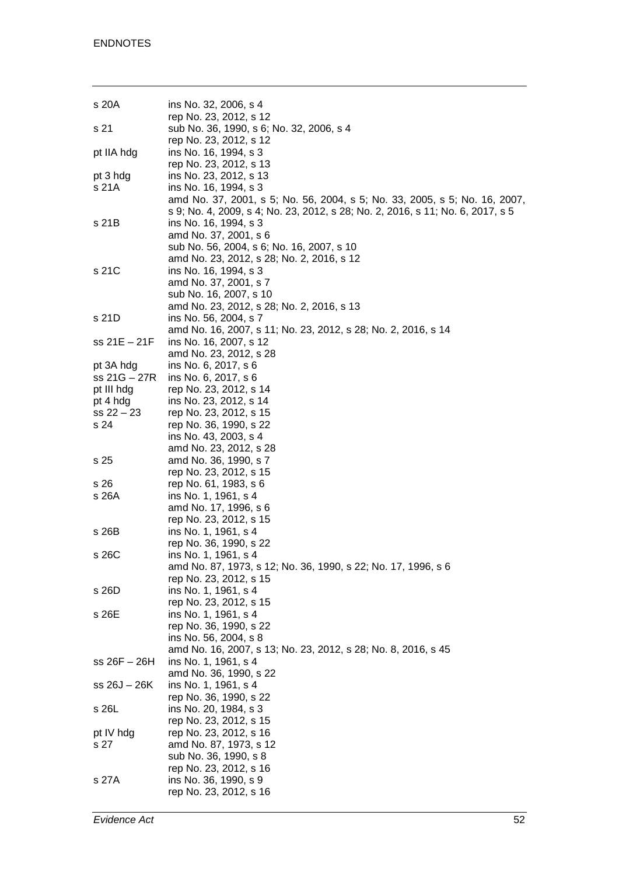| s 20A             | ins No. 32, 2006, s 4                                                                                                                                              |
|-------------------|--------------------------------------------------------------------------------------------------------------------------------------------------------------------|
| s 21              | rep No. 23, 2012, s 12<br>sub No. 36, 1990, s 6; No. 32, 2006, s 4                                                                                                 |
| pt IIA hdg        | rep No. 23, 2012, s 12<br>ins No. 16, 1994, s 3<br>rep No. 23, 2012, s 13                                                                                          |
| pt 3 hdg<br>s 21A | ins No. 23, 2012, s 13<br>ins No. 16, 1994, s 3<br>amd No. 37, 2001, s 5; No. 56, 2004, s 5; No. 33, 2005, s 5; No. 16, 2007,                                      |
| s 21B             | s 9; No. 4, 2009, s 4; No. 23, 2012, s 28; No. 2, 2016, s 11; No. 6, 2017, s 5<br>ins No. 16, 1994, s 3<br>amd No. 37, 2001, s 6                                   |
| s 21C             | sub No. 56, 2004, s 6; No. 16, 2007, s 10<br>amd No. 23, 2012, s 28; No. 2, 2016, s 12<br>ins No. 16, 1994, s 3<br>amd No. 37, 2001, s 7<br>sub No. 16, 2007, s 10 |
| s 21D             | amd No. 23, 2012, s 28; No. 2, 2016, s 13<br>ins No. 56, 2004, s 7<br>amd No. 16, 2007, s 11; No. 23, 2012, s 28; No. 2, 2016, s 14                                |
| ss 21E - 21F      | ins No. 16, 2007, s 12<br>amd No. 23, 2012, s 28                                                                                                                   |
| pt 3A hdg         | ins No. 6, 2017, s 6                                                                                                                                               |
| ss 21G - 27R      | ins No. 6, 2017, s 6                                                                                                                                               |
| pt III hdg        | rep No. 23, 2012, s 14                                                                                                                                             |
| pt 4 hdg          | ins No. 23, 2012, s 14                                                                                                                                             |
| $ss 22 - 23$      | rep No. 23, 2012, s 15                                                                                                                                             |
| s 24              | rep No. 36, 1990, s 22                                                                                                                                             |
|                   | ins No. 43, 2003, s 4                                                                                                                                              |
|                   | amd No. 23, 2012, s 28                                                                                                                                             |
| s 25              | amd No. 36, 1990, s 7                                                                                                                                              |
|                   | rep No. 23, 2012, s 15                                                                                                                                             |
| s 26              | rep No. 61, 1983, s 6                                                                                                                                              |
| s 26A             | ins No. 1, 1961, s 4                                                                                                                                               |
|                   | amd No. 17, 1996, s 6                                                                                                                                              |
|                   | rep No. 23, 2012, s 15                                                                                                                                             |
| s 26B             | ins No. 1, 1961, s 4                                                                                                                                               |
|                   | rep No. 36, 1990, s 22                                                                                                                                             |
| s 26C             | ins No. 1, 1961, s 4                                                                                                                                               |
|                   | amd No. 87, 1973, s 12; No. 36, 1990, s 22; No. 17, 1996, s 6                                                                                                      |
|                   | rep No. 23, 2012, s 15                                                                                                                                             |
| s 26D             | ins No. 1, 1961, s 4                                                                                                                                               |
|                   | rep No. 23, 2012, s 15                                                                                                                                             |
| s 26E             | ins No. 1, 1961, s 4                                                                                                                                               |
|                   | rep No. 36, 1990, s 22                                                                                                                                             |
|                   | ins No. 56, 2004, s 8                                                                                                                                              |
|                   | amd No. 16, 2007, s 13; No. 23, 2012, s 28; No. 8, 2016, s 45                                                                                                      |
| $ss 26F - 26H$    | ins No. 1, 1961, s 4                                                                                                                                               |
|                   | amd No. 36, 1990, s 22                                                                                                                                             |
| ss 26J – 26K      |                                                                                                                                                                    |
|                   | ins No. 1, 1961, s 4                                                                                                                                               |
|                   | rep No. 36, 1990, s 22                                                                                                                                             |
| s 26L             | ins No. 20, 1984, s 3                                                                                                                                              |
|                   | rep No. 23, 2012, s 15                                                                                                                                             |
| pt IV hdg         | rep No. 23, 2012, s 16                                                                                                                                             |
| s 27              | amd No. 87, 1973, s 12                                                                                                                                             |
|                   | sub No. 36, 1990, s 8                                                                                                                                              |
|                   | rep No. 23, 2012, s 16                                                                                                                                             |
| s 27A             | ins No. 36, 1990, s 9                                                                                                                                              |
|                   | rep No. 23, 2012, s 16                                                                                                                                             |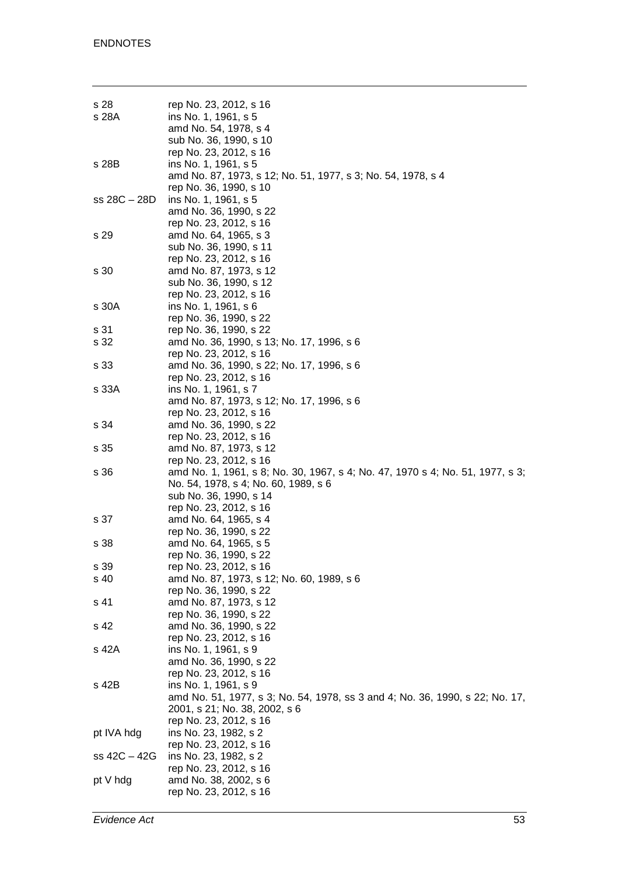| s 28<br>s 28A | rep No. 23, 2012, s 16<br>ins No. 1, 1961, s 5<br>amd No. 54, 1978, s 4                                        |
|---------------|----------------------------------------------------------------------------------------------------------------|
|               | sub No. 36, 1990, s 10<br>rep No. 23, 2012, s 16                                                               |
| s 28B         | ins No. 1, 1961, s 5<br>amd No. 87, 1973, s 12; No. 51, 1977, s 3; No. 54, 1978, s 4<br>rep No. 36, 1990, s 10 |
| ss 28C - 28D  | ins No. 1, 1961, s 5<br>amd No. 36, 1990, s 22<br>rep No. 23, 2012, s 16                                       |
| s 29          | amd No. 64, 1965, s 3<br>sub No. 36, 1990, s 11                                                                |
| s 30          | rep No. 23, 2012, s 16<br>amd No. 87, 1973, s 12<br>sub No. 36, 1990, s 12                                     |
| s 30A         | rep No. 23, 2012, s 16<br>ins No. 1, 1961, s 6<br>rep No. 36, 1990, s 22                                       |
| s 31          | rep No. 36, 1990, s 22                                                                                         |
| s 32          | amd No. 36, 1990, s 13; No. 17, 1996, s 6<br>rep No. 23, 2012, s 16                                            |
| s 33          | amd No. 36, 1990, s 22; No. 17, 1996, s 6<br>rep No. 23, 2012, s 16                                            |
| s 33A         | ins No. 1, 1961, s 7                                                                                           |
|               | amd No. 87, 1973, s 12; No. 17, 1996, s 6<br>rep No. 23, 2012, s 16                                            |
| s 34          | amd No. 36, 1990, s 22<br>rep No. 23, 2012, s 16                                                               |
| s 35          | amd No. 87, 1973, s 12                                                                                         |
| s 36          | rep No. 23, 2012, s 16<br>amd No. 1, 1961, s 8; No. 30, 1967, s 4; No. 47, 1970 s 4; No. 51, 1977, s 3;        |
|               | No. 54, 1978, s 4; No. 60, 1989, s 6<br>sub No. 36, 1990, s 14                                                 |
|               | rep No. 23, 2012, s 16                                                                                         |
| s 37          | amd No. 64, 1965, s 4<br>rep No. 36, 1990, s 22                                                                |
| s 38          | amd No. 64, 1965, s 5<br>rep No. 36, 1990, s 22                                                                |
|               | rep No. 23, 2012, s 16                                                                                         |
| s 39          |                                                                                                                |
| s 40          | amd No. 87, 1973, s 12; No. 60, 1989, s 6<br>rep No. 36, 1990, s 22                                            |
| s 41          | amd No. 87, 1973, s 12                                                                                         |
|               | rep No. 36, 1990, s 22                                                                                         |
| s 42          | amd No. 36, 1990, s 22                                                                                         |
| s 42A         | rep No. 23, 2012, s 16<br>ins No. 1, 1961, s 9                                                                 |
|               | amd No. 36, 1990, s 22                                                                                         |
|               | rep No. 23, 2012, s 16                                                                                         |
| s 42B         | ins No. 1, 1961, s 9                                                                                           |
|               | amd No. 51, 1977, s 3; No. 54, 1978, ss 3 and 4; No. 36, 1990, s 22; No. 17,                                   |
|               | 2001, s 21; No. 38, 2002, s 6                                                                                  |
|               | rep No. 23, 2012, s 16                                                                                         |
| pt IVA hdg    | ins No. 23, 1982, s 2                                                                                          |
| ss 42C – 42G  | rep No. 23, 2012, s 16<br>ins No. 23, 1982, s 2                                                                |
|               | rep No. 23, 2012, s 16                                                                                         |
| pt V hdg      | amd No. 38, 2002, s 6                                                                                          |
|               | rep No. 23, 2012, s 16                                                                                         |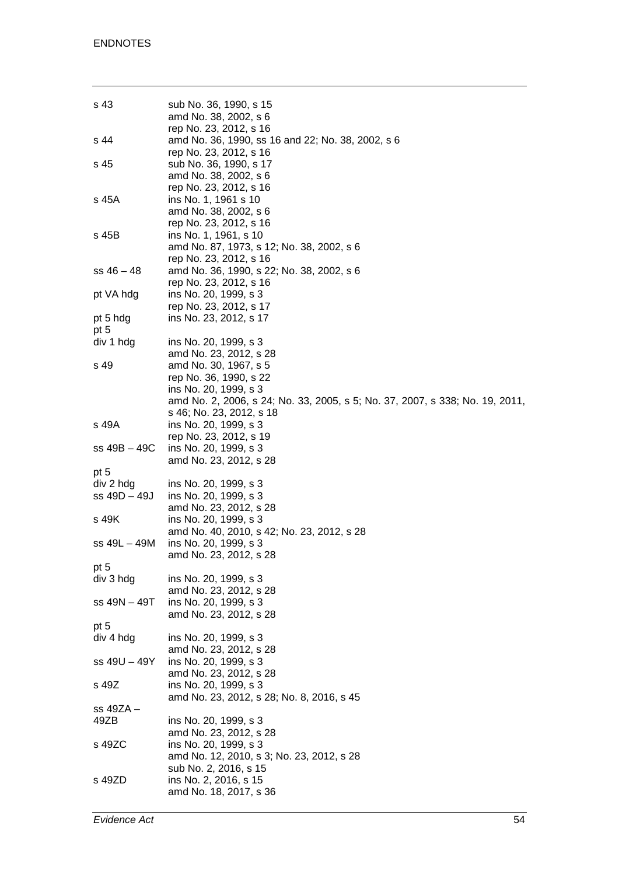| s 43             | sub No. 36, 1990, s 15<br>amd No. 38, 2002, s 6<br>rep No. 23, 2012, s 16                                                                                |
|------------------|----------------------------------------------------------------------------------------------------------------------------------------------------------|
| s 44             | amd No. 36, 1990, ss 16 and 22; No. 38, 2002, s 6<br>rep No. 23, 2012, s 16                                                                              |
| s 45             | sub No. 36, 1990, s 17<br>amd No. 38, 2002, s 6<br>rep No. 23, 2012, s 16                                                                                |
| s 45A            | ins No. 1, 1961 s 10<br>amd No. 38, 2002, s 6<br>rep No. 23, 2012, s 16                                                                                  |
| s 45B            | ins No. 1, 1961, s 10<br>amd No. 87, 1973, s 12; No. 38, 2002, s 6<br>rep No. 23, 2012, s 16                                                             |
| $ss$ 46 $-$ 48   | amd No. 36, 1990, s 22; No. 38, 2002, s 6<br>rep No. 23, 2012, s 16                                                                                      |
| pt VA hdg        | ins No. 20, 1999, s 3<br>rep No. 23, 2012, s 17                                                                                                          |
| pt 5 hdg<br>pt 5 | ins No. 23, 2012, s 17                                                                                                                                   |
| div 1 hdg        | ins No. 20, 1999, s 3<br>amd No. 23, 2012, s 28                                                                                                          |
| s 49             | amd No. 30, 1967, s 5<br>rep No. 36, 1990, s 22<br>ins No. 20, 1999, s 3<br>amd No. 2, 2006, s 24; No. 33, 2005, s 5; No. 37, 2007, s 338; No. 19, 2011, |
| s 49A            | s 46; No. 23, 2012, s 18<br>ins No. 20, 1999, s 3<br>rep No. 23, 2012, s 19                                                                              |
| ss 49B – 49C     | ins No. 20, 1999, s 3<br>amd No. 23, 2012, s 28                                                                                                          |
| pt 5             |                                                                                                                                                          |
| div 2 hdg        | ins No. 20, 1999, s 3                                                                                                                                    |
| ss 49D - 49J     | ins No. 20, 1999, s 3<br>amd No. 23, 2012, s 28                                                                                                          |
| s 49K            | ins No. 20, 1999, s 3<br>amd No. 40, 2010, s 42; No. 23, 2012, s 28                                                                                      |
| ss 49L – 49M     | ins No. 20, 1999, s 3<br>amd No. 23, 2012, s 28                                                                                                          |
| pt 5             |                                                                                                                                                          |
| div 3 hdg        | ins No. 20, 1999, s 3<br>amd No. 23, 2012, s 28                                                                                                          |
| ss 49N – 49T     | ins No. 20, 1999, s 3<br>amd No. 23, 2012, s 28                                                                                                          |
| pt 5             |                                                                                                                                                          |
| div 4 hdg        | ins No. 20, 1999, s 3<br>amd No. 23, 2012, s 28                                                                                                          |
| ss 49U - 49Y     | ins No. 20, 1999, s 3<br>amd No. 23, 2012, s 28                                                                                                          |
| s 49Z            | ins No. 20, 1999, s 3<br>amd No. 23, 2012, s 28; No. 8, 2016, s 45                                                                                       |
| ss 49ZA –        |                                                                                                                                                          |
| 49ZB             | ins No. 20, 1999, s 3<br>amd No. 23, 2012, s 28                                                                                                          |
| s 49ZC           | ins No. 20, 1999, s 3<br>amd No. 12, 2010, s 3; No. 23, 2012, s 28<br>sub No. 2, 2016, s 15                                                              |
| s 49ZD           | ins No. 2, 2016, s 15<br>amd No. 18, 2017, s 36                                                                                                          |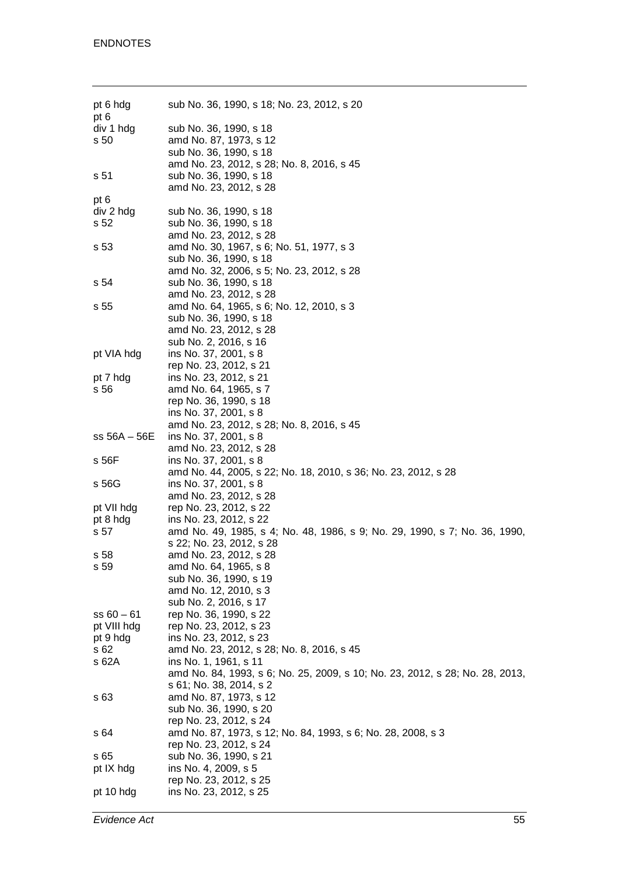| pt 6 hdg<br>pt 6 | sub No. 36, 1990, s 18; No. 23, 2012, s 20                                   |
|------------------|------------------------------------------------------------------------------|
| div 1 hdg        | sub No. 36, 1990, s 18                                                       |
| s 50             | amd No. 87, 1973, s 12                                                       |
|                  | sub No. 36, 1990, s 18                                                       |
|                  | amd No. 23, 2012, s 28; No. 8, 2016, s 45                                    |
| s 51             | sub No. 36, 1990, s 18                                                       |
|                  | amd No. 23, 2012, s 28                                                       |
| pt 6             |                                                                              |
| div 2 hdg        | sub No. 36, 1990, s 18                                                       |
| s 52             | sub No. 36, 1990, s 18                                                       |
|                  | amd No. 23, 2012, s 28                                                       |
| s 53             | amd No. 30, 1967, s 6; No. 51, 1977, s 3                                     |
|                  | sub No. 36, 1990, s 18                                                       |
|                  | amd No. 32, 2006, s 5; No. 23, 2012, s 28                                    |
| s 54             | sub No. 36, 1990, s 18                                                       |
|                  | amd No. 23, 2012, s 28                                                       |
| s 55             | amd No. 64, 1965, s 6; No. 12, 2010, s 3                                     |
|                  | sub No. 36, 1990, s 18                                                       |
|                  | amd No. 23, 2012, s 28                                                       |
|                  |                                                                              |
|                  | sub No. 2, 2016, s 16                                                        |
| pt VIA hdg       | ins No. 37, 2001, s 8                                                        |
|                  | rep No. 23, 2012, s 21                                                       |
| pt 7 hdg         | ins No. 23, 2012, s 21                                                       |
| s 56             | amd No. 64, 1965, s 7                                                        |
|                  | rep No. 36, 1990, s 18                                                       |
|                  | ins No. 37, 2001, s 8                                                        |
|                  | amd No. 23, 2012, s 28; No. 8, 2016, s 45                                    |
| $ss 56A - 56E$   | ins No. 37, 2001, s 8                                                        |
|                  | amd No. 23, 2012, s 28                                                       |
| s 56F            | ins No. 37, 2001, s 8                                                        |
|                  | amd No. 44, 2005, s 22; No. 18, 2010, s 36; No. 23, 2012, s 28               |
| s 56G            | ins No. 37, 2001, s 8                                                        |
|                  | amd No. 23, 2012, s 28                                                       |
| pt VII hdg       | rep No. 23, 2012, s 22                                                       |
| pt 8 hdg         | ins No. 23, 2012, s 22                                                       |
| s 57             | amd No. 49, 1985, s 4; No. 48, 1986, s 9; No. 29, 1990, s 7; No. 36, 1990,   |
|                  | s 22; No. 23, 2012, s 28                                                     |
| s 58             | amd No. 23, 2012, s 28                                                       |
| s 59             | amd No. 64, 1965, s 8                                                        |
|                  | sub No. 36, 1990, s 19                                                       |
|                  | amd No. 12, 2010, s 3                                                        |
|                  | sub No. 2, 2016, s 17                                                        |
| $ss 60 - 61$     | rep No. 36, 1990, s 22                                                       |
| pt VIII hdg      | rep No. 23, 2012, s 23                                                       |
| pt 9 hdg         | ins No. 23, 2012, s 23                                                       |
| s 62             | amd No. 23, 2012, s 28; No. 8, 2016, s 45                                    |
| s 62A            | ins No. 1, 1961, s 11                                                        |
|                  | amd No. 84, 1993, s 6; No. 25, 2009, s 10; No. 23, 2012, s 28; No. 28, 2013, |
|                  | s 61; No. 38, 2014, s 2                                                      |
| s 63             | amd No. 87, 1973, s 12                                                       |
|                  | sub No. 36, 1990, s 20                                                       |
|                  | rep No. 23, 2012, s 24                                                       |
| s 64             | amd No. 87, 1973, s 12; No. 84, 1993, s 6; No. 28, 2008, s 3                 |
|                  | rep No. 23, 2012, s 24                                                       |
|                  |                                                                              |
| s 65             | sub No. 36, 1990, s 21                                                       |
| pt IX hdg        | ins No. 4, 2009, s 5                                                         |
|                  | rep No. 23, 2012, s 25                                                       |
| pt 10 hdg        | ins No. 23, 2012, s 25                                                       |